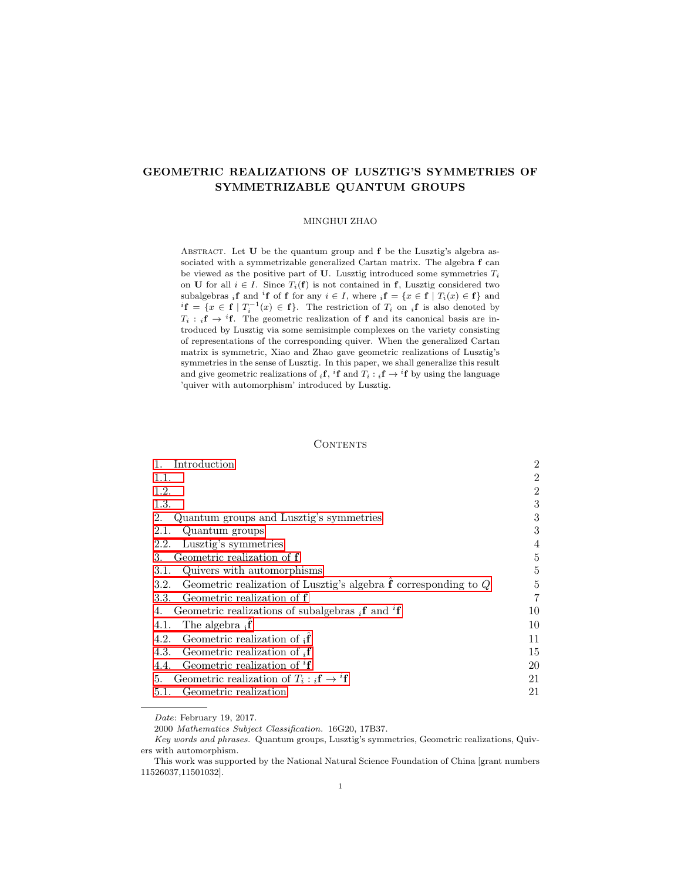# GEOMETRIC REALIZATIONS OF LUSZTIG'S SYMMETRIES OF SYMMETRIZABLE QUANTUM GROUPS

#### MINGHUI ZHAO

ABSTRACT. Let  $U$  be the quantum group and  $f$  be the Lusztig's algebra associated with a symmetrizable generalized Cartan matrix. The algebra f can be viewed as the positive part of U. Lusztig introduced some symmetries  $T_i$ on **U** for all  $i \in I$ . Since  $T_i(f)$  is not contained in f, Lusztig considered two subalgebras <sub>i</sub>f and <sup>i</sup>f of f for any  $i \in I$ , where  $_i f = \{x \in f \mid T_i(x) \in f\}$  and  ${}^{i}$ **f** = { $x \in$  **f** |  $T_i^{-1}(x) \in$  **f**}. The restriction of  $T_i$  on  ${}_{i}$ **f** is also denoted by  $T_i : {}_{i}f \rightarrow {}^{i}f$ . The geometric realization of f and its canonical basis are introduced by Lusztig via some semisimple complexes on the variety consisting of representations of the corresponding quiver. When the generalized Cartan matrix is symmetric, Xiao and Zhao gave geometric realizations of Lusztig's symmetries in the sense of Lusztig. In this paper, we shall generalize this result and give geometric realizations of  $_i f$ ,  ${}^i f$  and  $T_i : {}_i f \rightarrow {}^i f$  by using the language 'quiver with automorphism' introduced by Lusztig.

#### **CONTENTS**

| Introduction<br>1.                                                                                | $\overline{2}$ |
|---------------------------------------------------------------------------------------------------|----------------|
| 1.1.                                                                                              | 2              |
| 1.2.                                                                                              | 2              |
| 1.3.                                                                                              | 3              |
| Quantum groups and Lusztig's symmetries<br>2.                                                     | 3              |
| 2.1.<br>Quantum groups                                                                            | 3              |
| Lusztig's symmetries<br>2.2.                                                                      | 4              |
| Geometric realization of f<br>3.                                                                  | 5              |
| Quivers with automorphisms<br>3.1.                                                                | 5              |
| Geometric realization of Lusztig's algebra $\mathbf f$ corresponding to $Q$<br>3.2.               | 5              |
| 3.3. Geometric realization of f                                                                   | 7              |
| Geometric realizations of subalgebras $_i$ <b>f</b> and <sup><math>_i</math></sup> <b>f</b><br>4. | 10             |
| The algebra $_i \mathbf{f}$<br>4.1.                                                               | 10             |
| Geometric realization of $\mathbf{f}$<br>4.2.                                                     | 11             |
| Geometric realization of ${}_{i}f$<br>4.3.                                                        | 15             |
| Geometric realization of ${}^{i}f$<br>4.4.                                                        | 20             |
| Geometric realization of $T_i : {}_i\mathbf{f} \to {}^i\mathbf{f}$<br>5.                          | 21             |
| 5.1. Geometric realization                                                                        | 21             |

Date: February 19, 2017.

<sup>2000</sup> Mathematics Subject Classification. 16G20, 17B37.

Key words and phrases. Quantum groups, Lusztig's symmetries, Geometric realizations, Quivers with automorphism.

This work was supported by the National Natural Science Foundation of China [grant numbers 11526037,11501032].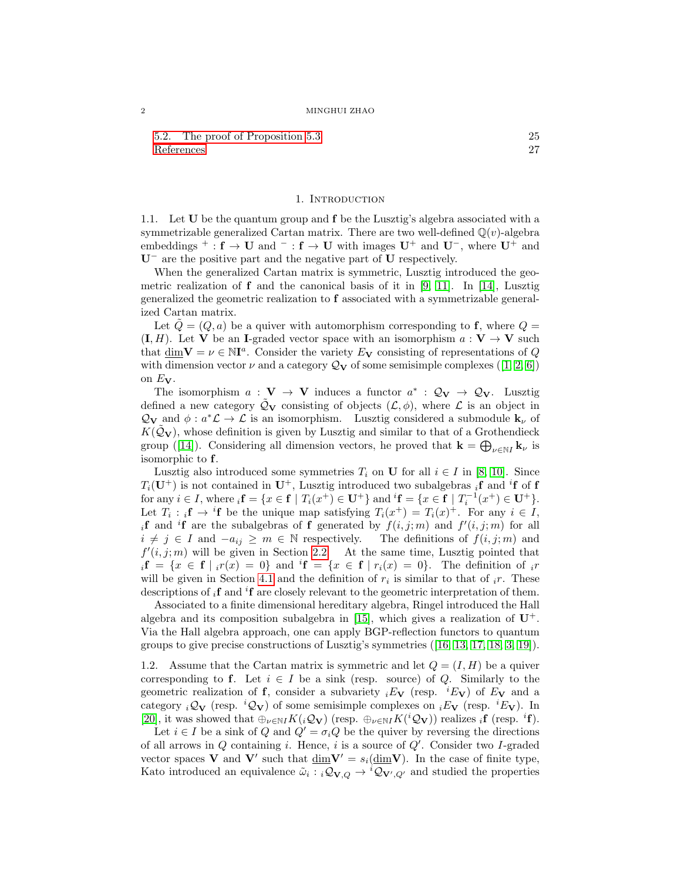[5.2. The proof of Proposition 5.3](#page-24-0) 25 [References](#page-26-0) 27

## 1. INTRODUCTION

<span id="page-1-1"></span><span id="page-1-0"></span>1.1. Let U be the quantum group and f be the Lusztig's algebra associated with a symmetrizable generalized Cartan matrix. There are two well-defined  $\mathbb{Q}(v)$ -algebra embeddings <sup>+</sup> :  $f \rightarrow U$  and <sup>-</sup> :  $f \rightarrow U$  with images  $U^+$  and  $U^-$ , where  $U^+$  and U<sup>−</sup> are the positive part and the negative part of U respectively.

When the generalized Cartan matrix is symmetric, Lusztig introduced the geometric realization of  $f$  and the canonical basis of it in [\[9,](#page-26-1) [11\]](#page-26-2). In [\[14\]](#page-26-3), Lusztig generalized the geometric realization to f associated with a symmetrizable generalized Cartan matrix.

Let  $Q = (Q, a)$  be a quiver with automorphism corresponding to f, where  $Q =$  $(I, H)$ . Let V be an I-graded vector space with an isomorphism  $a: V \to V$  such that  $\underline{\dim} \mathbf{V} = \nu \in \mathbb{N}$ <sup>a</sup>. Consider the variety  $E_{\mathbf{V}}$  consisting of representations of Q with dimension vector  $\nu$  and a category  $\mathcal{Q}_{\mathbf{V}}$  of some semisimple complexes ([\[1,](#page-26-4) [2,](#page-26-5) [6\]](#page-26-6)) on  $E_V$ .

The isomorphism  $a: V \to V$  induces a functor  $a^*: \mathcal{Q}_V \to \mathcal{Q}_V$ . Lusztig defined a new category  $\tilde{Q}_V$  consisting of objects  $(L, \phi)$ , where  $\mathcal L$  is an object in  $\mathcal{Q}_{\mathbf{V}}$  and  $\phi: a^*\mathcal{L} \to \mathcal{L}$  is an isomorphism. Lusztig considered a submodule  $\mathbf{k}_{\nu}$  of  $K(Q_V)$ , whose definition is given by Lusztig and similar to that of a Grothendieck group ([\[14\]](#page-26-3)). Considering all dimension vectors, he proved that  $\mathbf{k} = \bigoplus_{\nu \in \mathbb{N}} \mathbf{k}_{\nu}$  is isomorphic to f.

Lusztig also introduced some symmetries  $T_i$  on U for all  $i \in I$  in [\[8,](#page-26-7) [10\]](#page-26-8). Since  $T_i(\mathbf{U}^+)$  is not contained in  $\mathbf{U}^+$ , Lusztig introduced two subalgebras <sub>i</sub>f and <sup>i</sup>f of f for any  $i \in I$ , where  ${}_{i}f = \{x \in f \mid T_{i}(x^{+}) \in U^{+}\}\$  and  ${}^{i}f = \{x \in f \mid T_{i}^{-1}(x^{+}) \in U^{+}\}.$ Let  $T_i : {}_i\mathbf{f} \to {}^i\mathbf{f}$  be the unique map satisfying  $T_i(x^+) = T_i(x)^+$ . For any  $i \in I$ , if and <sup>i</sup>f are the subalgebras of f generated by  $f(i, j; m)$  and  $f'(i, j; m)$  for all  $i \neq j \in I$  and  $-a_{ij} \geq m \in \mathbb{N}$  respectively. The definitions of  $f(i, j; m)$  and  $f'(i, j; m)$  will be given in Section [2.2.](#page-3-0) At the same time, Lusztig pointed that  $i\mathbf{f} = \{x \in \mathbf{f} \mid i r(x) = 0\}$  and  $i\mathbf{f} = \{x \in \mathbf{f} \mid r_i(x) = 0\}$ . The definition of  $i r$ will be given in Section [4.1](#page-9-1) and the definition of  $r_i$  is similar to that of  $_i r$ . These descriptions of  $_i$ **f** and  $^i$ **f** are closely relevant to the geometric interpretation of them.

Associated to a finite dimensional hereditary algebra, Ringel introduced the Hall algebra and its composition subalgebra in [\[15\]](#page-26-9), which gives a realization of  $U^+$ . Via the Hall algebra approach, one can apply BGP-reflection functors to quantum groups to give precise constructions of Lusztig's symmetries ([\[16,](#page-26-10) [13,](#page-26-11) [17,](#page-26-12) [18,](#page-26-13) [3,](#page-26-14) [19\]](#page-26-15)).

<span id="page-1-2"></span>1.2. Assume that the Cartan matrix is symmetric and let  $Q = (I, H)$  be a quiver corresponding to f. Let  $i \in I$  be a sink (resp. source) of Q. Similarly to the geometric realization of **f**, consider a subvariety  $iE_V$  (resp.  $iE_V$ ) of  $E_V$  and a category  $i\mathcal{Q}_V$  (resp.  ${}^i\mathcal{Q}_V$ ) of some semisimple complexes on  ${}_iE_V$  (resp.  ${}^iE_V$ ). In [\[20\]](#page-26-16), it was showed that  $\bigoplus_{\nu \in \mathbb{N}} K(i\mathcal{Q}_{\mathbf{V}})$  (resp.  $\bigoplus_{\nu \in \mathbb{N}} K(i\mathcal{Q}_{\mathbf{V}})$ ) realizes  $_i \mathbf{f}$  (resp.  $i \mathbf{f}$ ).

Let  $i \in I$  be a sink of  $Q$  and  $Q' = \sigma_i Q$  be the quiver by reversing the directions of all arrows in  $Q$  containing i. Hence, i is a source of  $Q'$ . Consider two I-graded vector spaces **V** and **V'** such that  $\underline{\dim}V' = s_i(\underline{\dim}V)$ . In the case of finite type, Kato introduced an equivalence  $\tilde{\omega}_i : {}_i \mathcal{Q}_{V,Q} \to {}^i \mathcal{Q}_{V',Q'}$  and studied the properties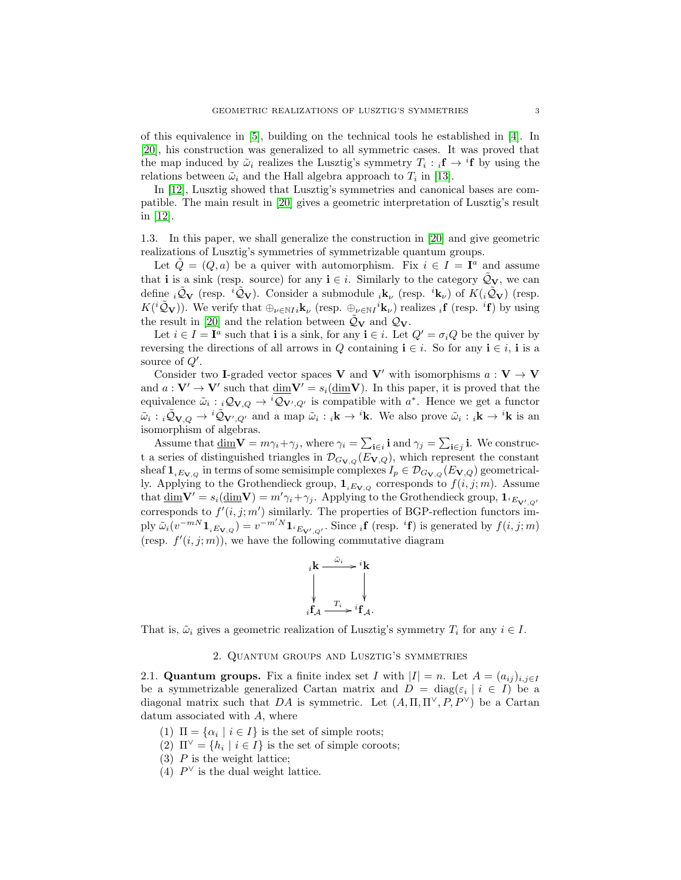of this equivalence in [\[5\]](#page-26-17), building on the technical tools he established in [\[4\]](#page-26-18). In [\[20\]](#page-26-16), his construction was generalized to all symmetric cases. It was proved that the map induced by  $\tilde{\omega}_i$  realizes the Lusztig's symmetry  $T_i : {}_i\mathbf{f} \to {}^i\mathbf{f}$  by using the relations between  $\tilde{\omega}_i$  and the Hall algebra approach to  $T_i$  in [\[13\]](#page-26-11).

In [\[12\]](#page-26-19), Lusztig showed that Lusztig's symmetries and canonical bases are compatible. The main result in [\[20\]](#page-26-16) gives a geometric interpretation of Lusztig's result in [\[12\]](#page-26-19).

<span id="page-2-0"></span>1.3. In this paper, we shall generalize the construction in [\[20\]](#page-26-16) and give geometric realizations of Lusztig's symmetries of symmetrizable quantum groups.

Let  $\tilde{Q} = (Q, a)$  be a quiver with automorphism. Fix  $i \in I = I^a$  and assume that i is a sink (resp. source) for any  $i \in i$ . Similarly to the category  $\mathcal{Q}_V$ , we can define  $i\tilde{Q}_V$  (resp.  $i\tilde{Q}_V$ ). Consider a submodule  $i\mathbf{k}_{\nu}$  (resp.  $i\mathbf{k}_{\nu}$ ) of  $K(i\tilde{Q}_V)$  (resp.  $K({}^{i}\tilde{Q}_{\mathbf{V}})$ ). We verify that  $\oplus_{\nu \in \mathbb{N}I} i_{\mathbf{k}_{\nu}}$  (resp.  $\oplus_{\nu \in \mathbb{N}I} i_{\mathbf{k}_{\nu}}$ ) realizes  ${}_{i}$ **f** (resp. <sup>*i*</sup>**f**) by using the result in [\[20\]](#page-26-16) and the relation between  $\tilde{Q}_V$  and  $Q_V$ .

Let  $i \in I = I^a$  such that **i** is a sink, for any  $i \in i$ . Let  $Q' = \sigma_i Q$  be the quiver by reversing the directions of all arrows in Q containing  $\mathbf{i} \in i$ . So for any  $\mathbf{i} \in i$ , i is a source of  $Q'$ .

Consider two I-graded vector spaces V and V' with isomorphisms  $a: V \to V$ and  $a: V' \to V'$  such that  $\underline{\dim}V' = s_i(\underline{\dim}V)$ . In this paper, it is proved that the equivalence  $\tilde{\omega}_i : {}_i \mathcal{Q}_{V,Q} \to {}^i \mathcal{Q}_{V',Q'}$  is compatible with  $a^*$ . Hence we get a functor  $\tilde{\omega}_i : i\tilde{\mathcal{Q}}_{\mathbf{V},Q} \to {}^i\tilde{\mathcal{Q}}_{\mathbf{V}',Q'}$  and a map  $\tilde{\omega}_i : i\mathbf{k} \to {}^i\mathbf{k}$ . We also prove  $\tilde{\omega}_i : i\mathbf{k} \to {}^i\mathbf{k}$  is an isomorphism of algebras.

Assume that  $\underline{\dim} \mathbf{V} = m\gamma_i + \gamma_j$ , where  $\gamma_i = \sum_{\mathbf{i} \in i} \mathbf{i}$  and  $\gamma_j = \sum_{\mathbf{i} \in j} \mathbf{i}$ . We construct a series of distinguished triangles in  $\mathcal{D}_{G_{\mathbf{V},Q}}(E_{\mathbf{V},Q})$ , which represent the constant sheaf  $\mathbf{1}_{iE_{\mathbf{V},Q}}$  in terms of some semisimple complexes  $I_p \in \mathcal{D}_{G_{\mathbf{V},Q}}(E_{\mathbf{V},Q})$  geometrically. Applying to the Grothendieck group,  $\mathbf{1}_{iE_{\mathbf{V},Q}}$  corresponds to  $f(i,j;m)$ . Assume that  $\underline{\dim}V' = s_i(\underline{\dim}V) = m'\gamma_i + \gamma_j$ . Applying to the Grothendieck group,  $\mathbf{1}_{i_{E_V,Q'}}$ corresponds to  $f'(i, j; m')$  similarly. The properties of BGP-reflection functors imply  $\tilde{\omega}_i(v^{-mN}\mathbf{1}_{iE_{\mathbf{V},Q}}) = v^{-m'N}\mathbf{1}_{iE_{\mathbf{V}',Q'}}$ . Since  $_i\mathbf{f}$  (resp.  ${}^{i}\mathbf{f}$ ) is generated by  $f(i,j;m)$ (resp.  $f'(i, j; m)$ ), we have the following commutative diagram



That is,  $\tilde{\omega}_i$  gives a geometric realization of Lusztig's symmetry  $T_i$  for any  $i \in I$ .

### 2. Quantum groups and Lusztig's symmetries

<span id="page-2-2"></span><span id="page-2-1"></span>2.1. Quantum groups. Fix a finite index set I with  $|I| = n$ . Let  $A = (a_{ij})_{i,j \in I}$ be a symmetrizable generalized Cartan matrix and  $D = \text{diag}(\varepsilon_i \mid i \in I)$  be a diagonal matrix such that DA is symmetric. Let  $(A, \Pi, \Pi^{\vee}, P, P^{\vee})$  be a Cartan datum associated with A, where

- (1)  $\Pi = {\alpha_i \mid i \in I}$  is the set of simple roots;
- (2)  $\Pi^{\vee} = \{h_i \mid i \in I\}$  is the set of simple coroots;
- $(3)$  P is the weight lattice;
- (4)  $P^{\vee}$  is the dual weight lattice.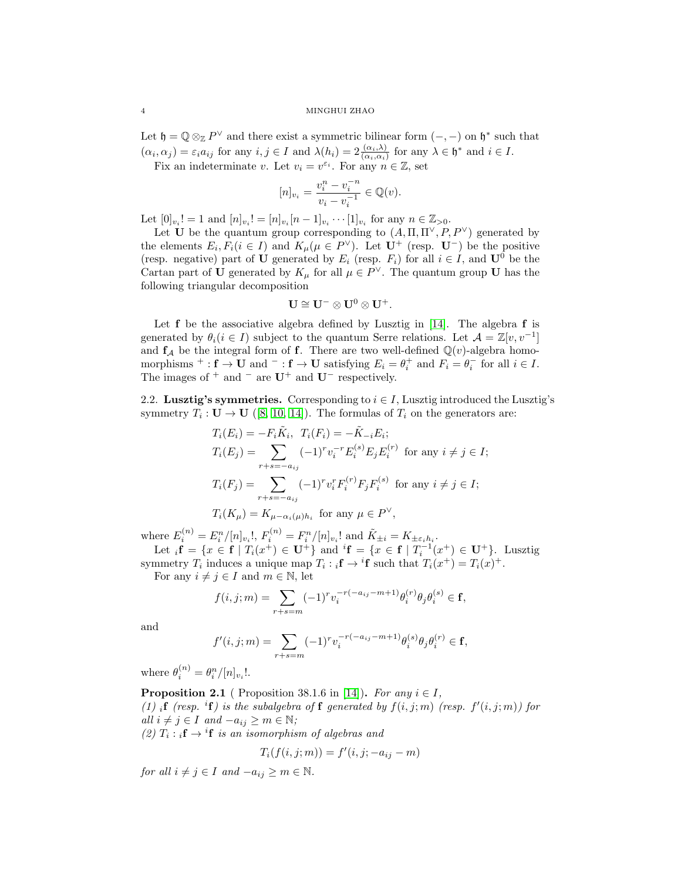Let  $\mathfrak{h} = \mathbb{Q} \otimes_{\mathbb{Z}} P^{\vee}$  and there exist a symmetric bilinear form  $(-,-)$  on  $\mathfrak{h}^*$  such that  $(\alpha_i, \alpha_j) = \varepsilon_i a_{ij}$  for any  $i, j \in I$  and  $\lambda(h_i) = 2 \frac{(\alpha_i, \lambda)}{(\alpha_i, \alpha_i)}$  for any  $\lambda \in \mathfrak{h}^*$  and  $i \in I$ .

Fix an indeterminate v. Let  $v_i = v^{\varepsilon_i}$ . For any  $n \in \mathbb{Z}$ , set

$$
[n]_{v_i} = \frac{v_i^n - v_i^{-n}}{v_i - v_i^{-1}} \in \mathbb{Q}(v).
$$

Let  $[0]_{v_i}! = 1$  and  $[n]_{v_i}! = [n]_{v_i} [n-1]_{v_i} \cdots [1]_{v_i}$  for any  $n \in \mathbb{Z}_{>0}$ .

Let U be the quantum group corresponding to  $(A, \Pi, \Pi^{\vee}, P, P^{\vee})$  generated by the elements  $E_i, F_i (i \in I)$  and  $K_\mu (\mu \in P^{\vee})$ . Let  $\mathbf{U}^+$  (resp.  $\mathbf{U}^-$ ) be the positive (resp. negative) part of U generated by  $E_i$  (resp.  $F_i$ ) for all  $i \in I$ , and  $\mathbf{U}^0$  be the Cartan part of U generated by  $K_{\mu}$  for all  $\mu \in P^{\vee}$ . The quantum group U has the following triangular decomposition

$$
U\cong U^-\otimes U^0\otimes U^+.
$$

Let  $f$  be the associative algebra defined by Lusztig in [\[14\]](#page-26-3). The algebra  $f$  is generated by  $\theta_i (i \in I)$  subject to the quantum Serre relations. Let  $\mathcal{A} = \mathbb{Z}[v, v^{-1}]$ and  $f_A$  be the integral form of f. There are two well-defined  $\mathbb{Q}(v)$ -algebra homomorphisms <sup>+</sup>: **f**  $\rightarrow$  **U** and <sup>-</sup>: **f**  $\rightarrow$  **U** satisfying  $E_i = \theta_i^+$  and  $F_i = \theta_i^-$  for all  $i \in I$ . The images of  $+$  and  $-$  are  $U^+$  and  $U^-$  respectively.

<span id="page-3-0"></span>2.2. Lusztig's symmetries. Corresponding to  $i \in I$ , Lusztig introduced the Lusztig's symmetry  $T_i: U \to U$  ([\[8,](#page-26-7) [10,](#page-26-8) [14\]](#page-26-3)). The formulas of  $T_i$  on the generators are:

$$
T_i(E_i) = -F_i \tilde{K}_i, \ T_i(F_i) = -\tilde{K}_{-i} E_i;
$$
  
\n
$$
T_i(E_j) = \sum_{r+s=-a_{ij}} (-1)^r v_i^{-r} E_i^{(s)} E_j E_i^{(r)} \text{ for any } i \neq j \in I;
$$
  
\n
$$
T_i(F_j) = \sum_{r+s=-a_{ij}} (-1)^r v_i^r F_i^{(r)} F_j F_i^{(s)} \text{ for any } i \neq j \in I;
$$
  
\n
$$
T_i(K_\mu) = K_{\mu-\alpha_i(\mu)h_i} \text{ for any } \mu \in P^\vee,
$$

where  $E_i^{(n)} = E_i^n / [n]_{v_i}!$ ,  $F_i^{(n)} = F_i^n / [n]_{v_i}!$  and  $\tilde{K}_{\pm i} = K_{\pm \varepsilon_i h_i}$ . Let  ${}_{i}f = \{x \in f \mid T_{i}(x^{+}) \in U^{+}\}\$  and  ${}^{i}f = \{x \in f \mid T_{i}^{-1}(x^{+}) \in U^{+}\}\$ . Lusztig

symmetry  $T_i$  induces a unique map  $T_i : {}_i\mathbf{f} \to {}^i\mathbf{f}$  such that  $T_i(x^+) = T_i(x)^+$ . For any  $i \neq j \in I$  and  $m \in \mathbb{N}$ , let

$$
f(i,j;m) = \sum_{r+s=m} (-1)^r v_i^{-r(-a_{ij}-m+1)} \theta_i^{(r)} \theta_j \theta_i^{(s)} \in \mathbf{f},
$$

and

$$
f'(i, j; m) = \sum_{r+s=m} (-1)^r v_i^{-r(-a_{ij} - m + 1)} \theta_i^{(s)} \theta_j \theta_i^{(r)} \in \mathbf{f},
$$

where  $\theta_i^{(n)} = \theta_i^n / [n]_{v_i}!$ .

**Proposition 2.1** ( Proposition 38.1.6 in [\[14\]](#page-26-3)). For any  $i \in I$ , (1) if (resp. <sup>i</sup>f) is the subalgebra of f generated by  $f(i, j; m)$  (resp.  $f'(i, j; m)$ ) for all  $i \neq j \in I$  and  $-a_{ij} \geq m \in \mathbb{N}$ ; (2)  $T_i : {}_i\mathbf{f} \to {}^i\mathbf{f}$  is an isomorphism of algebras and

$$
T_i(f(i, j; m)) = f'(i, j; -a_{ij} - m)
$$

for all  $i \neq j \in I$  and  $-a_{ij} \geq m \in \mathbb{N}$ .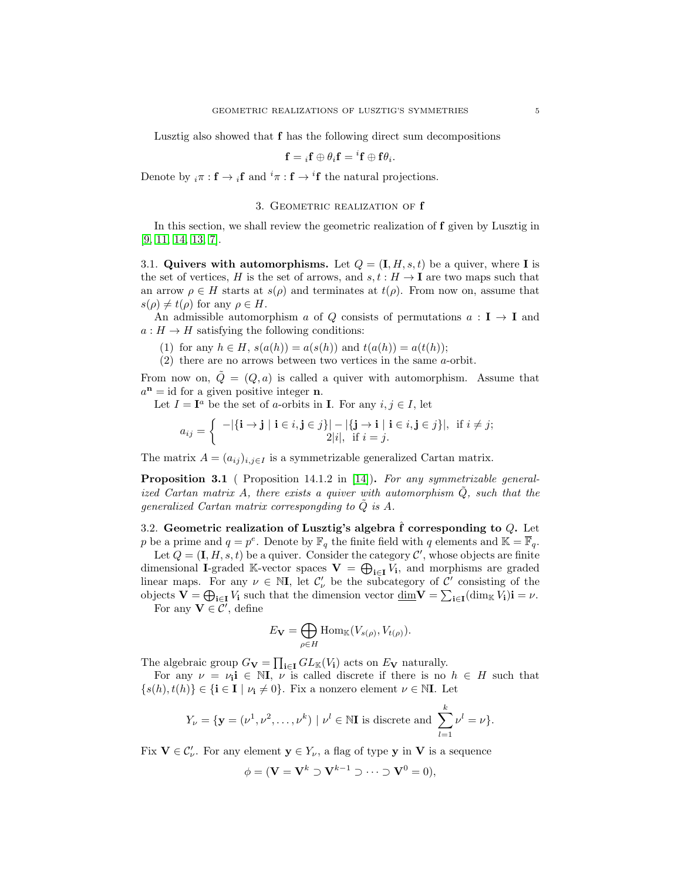Lusztig also showed that f has the following direct sum decompositions

$$
\mathbf{f}={}_i\mathbf{f}\oplus\theta_i\mathbf{f}={}^i\mathbf{f}\oplus\mathbf{f}\theta_i.
$$

Denote by  $_i \pi : \mathbf{f} \to i\mathbf{f}$  and  $i\pi : \mathbf{f} \to i\mathbf{f}$  the natural projections.

## 3. GEOMETRIC REALIZATION OF  $f$

<span id="page-4-0"></span>In this section, we shall review the geometric realization of f given by Lusztig in [\[9,](#page-26-1) [11,](#page-26-2) [14,](#page-26-3) [13,](#page-26-11) [7\]](#page-26-20).

<span id="page-4-1"></span>3.1. Quivers with automorphisms. Let  $Q = (\mathbf{I}, H, s, t)$  be a quiver, where I is the set of vertices, H is the set of arrows, and  $s, t : H \to I$  are two maps such that an arrow  $\rho \in H$  starts at  $s(\rho)$  and terminates at  $t(\rho)$ . From now on, assume that  $s(\rho) \neq t(\rho)$  for any  $\rho \in H$ .

An admissible automorphism a of Q consists of permutations  $a: I \rightarrow I$  and  $a: H \to H$  satisfying the following conditions:

(1) for any  $h \in H$ ,  $s(a(h)) = a(s(h))$  and  $t(a(h)) = a(t(h))$ ;

(2) there are no arrows between two vertices in the same a-orbit.

From now on,  $Q = (Q, a)$  is called a quiver with automorphism. Assume that  $a<sup>n</sup>$  = id for a given positive integer **n**.

Let  $I = I^a$  be the set of *a*-orbits in **I**. For any  $i, j \in I$ , let

$$
a_{ij} = \left\{ \begin{array}{c} -|\{\mathbf{i} \rightarrow \mathbf{j} \mid \mathbf{i} \in i, \mathbf{j} \in j\}| - |\{\mathbf{j} \rightarrow \mathbf{i} \mid \mathbf{i} \in i, \mathbf{j} \in j\}|, & \text{if } i \neq j; \\ 2|i|, & \text{if } i = j. \end{array} \right.
$$

The matrix  $A = (a_{ij})_{i,j \in I}$  is a symmetrizable generalized Cartan matrix.

**Proposition 3.1** ( Proposition 14.1.2 in [\[14\]](#page-26-3)). For any symmetrizable generalized Cartan matrix A, there exists a quiver with automorphism  $\tilde{Q}$ , such that the generalized Cartan matrix correspongding to  $\tilde{Q}$  is A.

<span id="page-4-2"></span>3.2. Geometric realization of Lusztig's algebra  $\hat{f}$  corresponding to  $Q$ . Let p be a prime and  $q = p^e$ . Denote by  $\mathbb{F}_q$  the finite field with q elements and  $\mathbb{K} = \overline{\mathbb{F}}_q$ .

Let  $Q = (\mathbf{I}, H, s, t)$  be a quiver. Consider the category  $\mathcal{C}'$ , whose objects are finite dimensional I-graded K-vector spaces  $\mathbf{V} = \bigoplus_{i \in I} V_i$ , and morphisms are graded linear maps. For any  $\nu \in \mathbb{N}$ , let  $\mathcal{C}'_{\nu}$  be the subcategory of  $\mathcal{C}'$  consisting of the objects  $\mathbf{V} = \bigoplus_{i \in I} V_i$  such that the dimension vector  $\underline{\dim}_{\mathbf{V}} = \sum_{i \in I} (\dim_{\mathbb{K}} V_i)i = \nu$ .

For any  $\mathbf{V} \in \overline{\mathcal{C}}'$ , define

$$
E_{\mathbf{V}} = \bigoplus_{\rho \in H} \mathrm{Hom}_{\mathbb{K}}(V_{s(\rho)}, V_{t(\rho)}).
$$

The algebraic group  $G_{\mathbf{V}} = \prod_{i \in I} GL_{\mathbb{K}}(V_i)$  acts on  $E_{\mathbf{V}}$  naturally.

For any  $\nu = \nu_i$ **i**  $\in$  NI,  $\nu$  is called discrete if there is no  $h \in H$  such that  $\{s(h), t(h)\}\in \{\mathbf{i}\in \mathbf{I} \mid \nu_{\mathbf{i}}\neq 0\}$ . Fix a nonzero element  $\nu \in \mathbb{N}\mathbf{I}$ . Let

$$
Y_{\nu} = \{ \mathbf{y} = (\nu^1, \nu^2, \dots, \nu^k) \mid \nu^l \in \mathbb{N} \mathbf{I} \text{ is discrete and } \sum_{l=1}^k \nu^l = \nu \}.
$$

Fix  $\mathbf{V} \in \mathcal{C}'_{\nu}$ . For any element  $\mathbf{y} \in Y_{\nu}$ , a flag of type  $\mathbf{y}$  in  $\mathbf{V}$  is a sequence

$$
\phi = (\mathbf{V} = \mathbf{V}^k \supset \mathbf{V}^{k-1} \supset \cdots \supset \mathbf{V}^0 = 0),
$$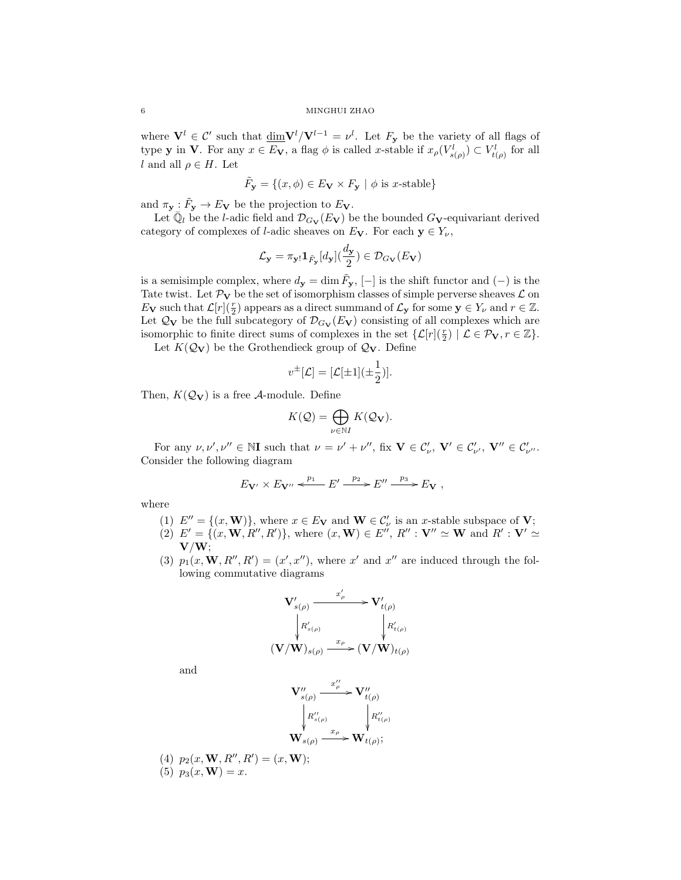where  $V^l \in \mathcal{C}'$  such that  $\underline{\dim}V^l/V^{l-1} = \nu^l$ . Let  $F_{\mathbf{y}}$  be the variety of all flags of type **y** in **V**. For any  $x \in E_V$ , a flag  $\phi$  is called x-stable if  $x_{\rho}(V_{s(\rho)}^l) \subset V_{t(\rho)}^l$  for all l and all  $\rho \in H$ . Let

$$
\tilde{F}_y = \{(x, \phi) \in E_V \times F_y \mid \phi \text{ is } x\text{-stable}\}
$$

and  $\pi_{\mathbf{y}} : \tilde{F}_{\mathbf{y}} \to E_{\mathbf{V}}$  be the projection to  $E_{\mathbf{V}}$ .

Let  $\bar{\mathbb{Q}}_l$  be the *l*-adic field and  $\mathcal{D}_{G_V}(E_V)$  be the bounded  $G_V$ -equivariant derived category of complexes of *l*-adic sheaves on  $E_V$ . For each  $y \in Y_{\nu}$ ,

$$
\mathcal{L}_{\mathbf{y}} = \pi_{\mathbf{y}!} \mathbf{1}_{\tilde{F}_{\mathbf{y}}}[d_{\mathbf{y}}](\frac{d_{\mathbf{y}}}{2}) \in \mathcal{D}_{G_{\mathbf{V}}}(E_{\mathbf{V}})
$$

is a semisimple complex, where  $d_{\mathbf{y}} = \dim \tilde{F}_{\mathbf{y}}, [-]$  is the shift functor and  $(-)$  is the Tate twist. Let  $\mathcal{P}_V$  be the set of isomorphism classes of simple perverse sheaves  $\mathcal L$  on  $E_{\mathbf{V}}$  such that  $\mathcal{L}[r](\frac{r}{2})$  appears as a direct summand of  $\mathcal{L}_{\mathbf{y}}$  for some  $\mathbf{y} \in Y_{\nu}$  and  $r \in \mathbb{Z}$ . Let  $\mathcal{Q}_V$  be the full subcategory of  $\mathcal{D}_{G_V}(E_V)$  consisting of all complexes which are isomorphic to finite direct sums of complexes in the set  $\{\mathcal{L}[r](\frac{r}{2}) \mid \mathcal{L} \in \mathcal{P}_v, r \in \mathbb{Z}\}.$ 

Let  $K(Q_V)$  be the Grothendieck group of  $Q_V$ . Define

$$
v^{\pm}[\mathcal{L}] = [\mathcal{L}[\pm 1](\pm \frac{1}{2})].
$$

Then,  $K(Q_V)$  is a free A-module. Define

$$
K(\mathcal{Q}) = \bigoplus_{\nu \in \mathbb{N}I} K(\mathcal{Q}_{\mathbf{V}}).
$$

For any  $\nu, \nu', \nu'' \in \mathbb{N}$ I such that  $\nu = \nu' + \nu''$ , fix  $\mathbf{V} \in \mathcal{C}'_{\nu}$ ,  $\mathbf{V}' \in \mathcal{C}'_{\nu'}$ ,  $\mathbf{V}'' \in \mathcal{C}'_{\nu''}$ . Consider the following diagram

$$
E_{\mathbf{V}'} \times E_{\mathbf{V}''} \xleftarrow{p_1} E' \xrightarrow{p_2} E'' \xrightarrow{p_3} E_{\mathbf{V}} ,
$$

where

- (1)  $E'' = \{(x, \mathbf{W})\}\$ , where  $x \in E_{\mathbf{V}}$  and  $\mathbf{W} \in C'_{\nu}$  is an *x*-stable subspace of **V**;
- (2)  $E' = \{(x, \mathbf{W}, R'', R')\}$ , where  $(x, \mathbf{W}) \in E'', R'' : \mathbf{V}'' \simeq \mathbf{W}$  and  $R' : \mathbf{V}' \simeq \mathbf{W}$  $V/W;$
- (3)  $p_1(x, \mathbf{W}, R'', R') = (x', x'')$ , where x' and x'' are induced through the following commutative diagrams

$$
\mathbf{V}_{s(\rho)}' \xrightarrow{\begin{array}{c} x_{\rho}'} \mathbf{V}_{t(\rho)}'\\ \downarrow R_{s(\rho)}'\\ (\mathbf{V}/\mathbf{W})_{s(\rho)} \xrightarrow{\begin{array}{c} x_{\rho} \\ \downarrow \end{array}} (\mathbf{V}/\mathbf{W})_{t(\rho)}
$$

and

$$
\begin{aligned}\n\mathbf{V}''_{s(\rho)} & \xrightarrow{x''_{\rho}} \mathbf{V}''_{t(\rho)}\\
\downarrow R''_{s(\rho)} & \downarrow R''_{t(\rho)}\\
\mathbf{W}_{s(\rho)} & \xrightarrow{x_{\rho}} \mathbf{W}_{t(\rho)};\n\end{aligned}
$$

(4)  $p_2(x, \mathbf{W}, R'', R') = (x, \mathbf{W});$ 

$$
(5) p_3(x, \mathbf{W}) = x.
$$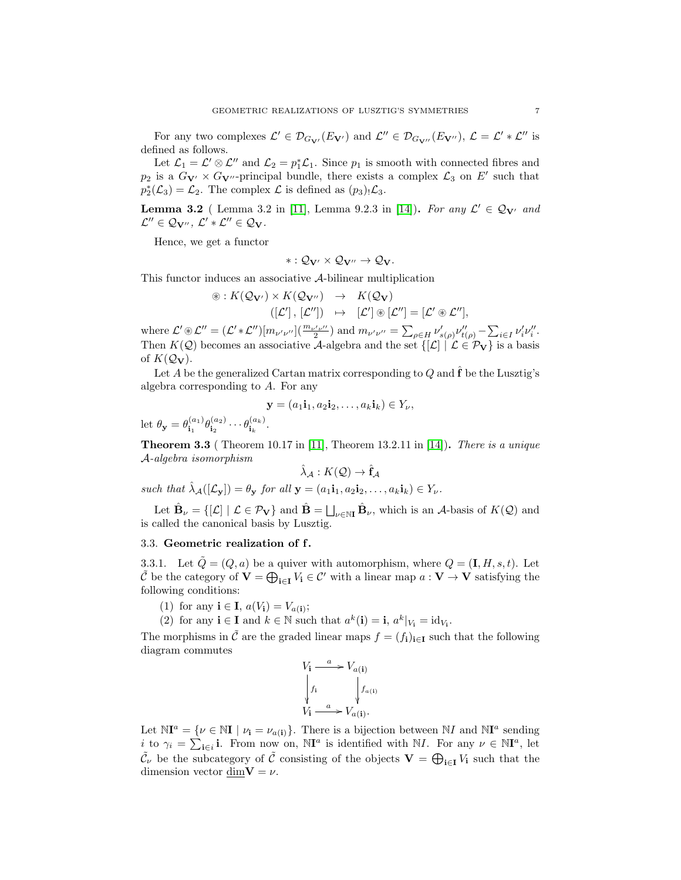For any two complexes  $\mathcal{L}' \in \mathcal{D}_{G_{\mathbf{V}'}}(E_{\mathbf{V}'})$  and  $\mathcal{L}'' \in \mathcal{D}_{G_{\mathbf{V}''}}(E_{\mathbf{V}''})$ ,  $\mathcal{L} = \mathcal{L}' * \mathcal{L}''$  is defined as follows.

Let  $\mathcal{L}_1 = \mathcal{L}' \otimes \mathcal{L}''$  and  $\mathcal{L}_2 = p_1^* \mathcal{L}_1$ . Since  $p_1$  is smooth with connected fibres and  $p_2$  is a  $G_{\mathbf{V'}} \times G_{\mathbf{V'}}$ -principal bundle, there exists a complex  $\mathcal{L}_3$  on  $E'$  such that  $p_2^*(\mathcal{L}_3) = \mathcal{L}_2$ . The complex  $\mathcal L$  is defined as  $(p_3)$ .  $\mathcal{L}_3$ .

**Lemma 3.2** ( Lemma 3.2 in [\[11\]](#page-26-2), Lemma 9.2.3 in [\[14\]](#page-26-3)). For any  $\mathcal{L}' \in \mathcal{Q}_{V'}$  and  $\mathcal{L}'' \in \mathcal{Q}_{\mathbf{V}''}, \ \mathcal{L}' * \mathcal{L}'' \in \mathcal{Q}_{\mathbf{V}}.$ 

Hence, we get a functor

$$
*:\mathcal{Q}_{\mathbf{V}'}\times\mathcal{Q}_{\mathbf{V}''}\rightarrow\mathcal{Q}_{\mathbf{V}}.
$$

This functor induces an associative A-bilinear multiplication

$$
\circledast: K(\mathcal{Q}_{\mathbf{V}'}) \times K(\mathcal{Q}_{\mathbf{V}''}) \rightarrow K(\mathcal{Q}_{\mathbf{V}})
$$
  

$$
([\mathcal{L}'], [\mathcal{L}'']) \rightarrow [\mathcal{L}'] \circledast [\mathcal{L}''] = [\mathcal{L}' \circledast \mathcal{L}''],
$$

where  $\mathcal{L}' \otimes \mathcal{L}'' = (\mathcal{L}' * \mathcal{L}'') [m_{\nu'\nu''}] (\frac{m_{\nu'\nu''}}{2})$  and  $m_{\nu'\nu''} = \sum_{\rho \in H} \nu'_{s(\rho)} \nu''_{t(\rho)} - \sum_{i \in I} \nu'_i \nu''_i$ . Then  $K(\mathcal{Q})$  becomes an associative A-algebra and the set  $\{[\mathcal{L}] \mid \mathcal{L} \in \mathcal{P}_V\}$  is a basis of  $K(Q_V)$ .

Let A be the generalized Cartan matrix corresponding to Q and  $\hat{\mathbf{f}}$  be the Lusztig's algebra corresponding to A. For any

$$
\mathbf{y} = (a_1 \mathbf{i}_1, a_2 \mathbf{i}_2, \dots, a_k \mathbf{i}_k) \in Y_\nu,
$$

let  $\theta_{\mathbf{y}} = \theta_{\mathbf{i}_1}^{(a_1)}$  $\overset{(a_1)}{\mathbf{i}_1}\theta^{(a_2)}_{\mathbf{i}_2}$  $\overset{(a_2)}{\mathbf{i}_2}\cdots\overset{(a_k)}{\mathbf{i}_k}$  $\frac{(a_k)}{\mathbf{i}_k}$ .

**Theorem 3.3** ( Theorem 10.17 in [\[11\]](#page-26-2), Theorem 13.2.11 in [\[14\]](#page-26-3)). There is a unique A-algebra isomorphism

$$
\hat{\lambda}_{\mathcal{A}}:K(\mathcal{Q})\to \hat{\mathbf{f}}_{\mathcal{A}}
$$

such that  $\hat{\lambda}_{\mathcal{A}}([\mathcal{L}_{\mathbf{v}}]) = \theta_{\mathbf{v}}$  for all  $\mathbf{y} = (a_1 \mathbf{i}_1, a_2 \mathbf{i}_2, \dots, a_k \mathbf{i}_k) \in Y_{\nu}$ .

Let  $\hat{\mathbf{B}}_{\nu} = \{[\mathcal{L}] \mid \mathcal{L} \in \mathcal{P}_{\mathbf{V}}\}$  and  $\hat{\mathbf{B}} = \bigsqcup_{\nu \in \mathbb{N}\mathbf{I}} \hat{\mathbf{B}}_{\nu}$ , which is an A-basis of  $K(\mathcal{Q})$  and is called the canonical basis by Lusztig.

## <span id="page-6-0"></span>3.3. Geometric realization of f.

3.3.1. Let  $\tilde{Q} = (Q, a)$  be a quiver with automorphism, where  $Q = (\mathbf{I}, H, s, t)$ . Let  $\tilde{\mathcal{C}}$  be the category of  $\mathbf{V} = \bigoplus_{i \in I} V_i \in \mathcal{C}'$  with a linear map  $a: \mathbf{V} \to \mathbf{V}$  satisfying the following conditions:

- (1) for any  $\mathbf{i} \in \mathbf{I}$ ,  $a(V_{\mathbf{i}}) = V_{a(\mathbf{i})}$ ;
- (2) for any  $\mathbf{i} \in \mathbf{I}$  and  $k \in \mathbb{N}$  such that  $a^k(\mathbf{i}) = \mathbf{i}, a^k|_{V_i} = id_{V_i}$ .

The morphisms in  $\tilde{\mathcal{C}}$  are the graded linear maps  $f = (f_i)_{i \in I}$  such that the following diagram commutes

$$
V_{\mathbf{i}} \xrightarrow{a} V_{a(\mathbf{i})}
$$
\n
$$
\downarrow f_{\mathbf{i}} \qquad \qquad \downarrow f_{a(\mathbf{i})}
$$
\n
$$
V_{\mathbf{i}} \xrightarrow{a} V_{a(\mathbf{i})}.
$$

Let  $\mathbb{N}I^a = \{ \nu \in \mathbb{N}I \mid \nu_i = \nu_{a(i)} \}.$  There is a bijection between  $\mathbb{N}I$  and  $\mathbb{N}I^a$  sending i to  $\gamma_i = \sum_{i \in i} i$ . From now on,  $\mathbb{N}I^a$  is identified with  $\mathbb{N}I$ . For any  $\nu \in \mathbb{N}I^a$ , let  $\tilde{C}_{\nu}$  be the subcategory of  $\tilde{C}$  consisting of the objects  $\mathbf{V} = \bigoplus_{i \in I} V_i$  such that the dimension vector dim $V = \nu$ .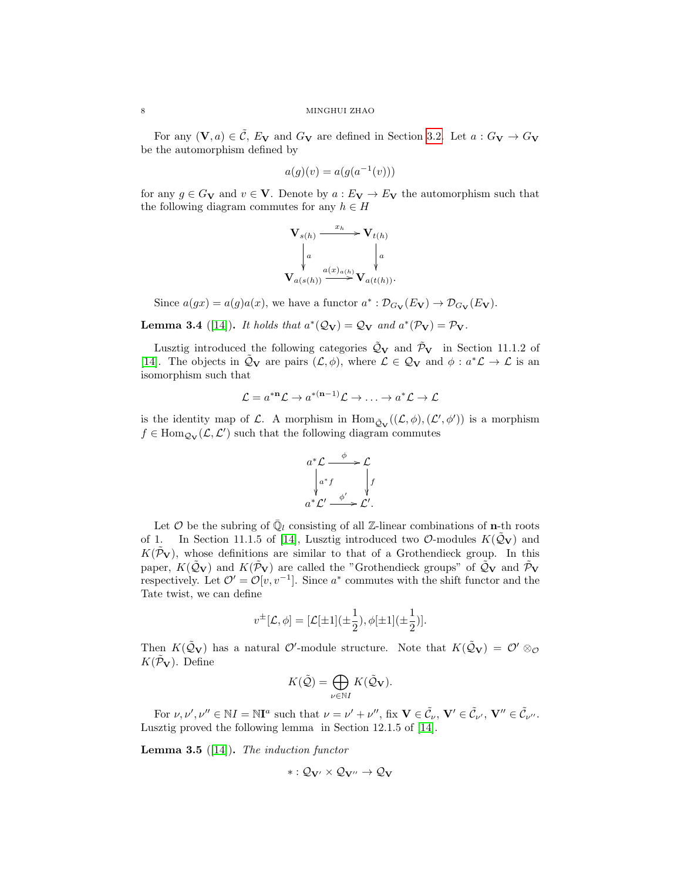For any  $(V, a) \in \tilde{C}$ ,  $E_V$  and  $G_V$  are defined in Section [3.2.](#page-4-2) Let  $a : G_V \to G_V$ be the automorphism defined by

$$
a(g)(v) = a(g(a^{-1}(v)))
$$

for any  $g \in G_V$  and  $v \in V$ . Denote by  $a : E_V \to E_V$  the automorphism such that the following diagram commutes for any  $h \in H$ 

$$
\mathbf{V}_{s(h)} \xrightarrow{\begin{array}{c} x_h \\ x_h \end{array}} \mathbf{V}_{t(h)} \\
\downarrow a \qquad \qquad \downarrow a \qquad \qquad \downarrow a \qquad \qquad \downarrow a \qquad \qquad \downarrow a \qquad \qquad \downarrow a \qquad \qquad \downarrow a \qquad \qquad \downarrow a \qquad \qquad \downarrow a \qquad \qquad \downarrow a \qquad \qquad \downarrow a \qquad \qquad \downarrow a \qquad \qquad \downarrow a \qquad \qquad \downarrow a \qquad \qquad \downarrow a \qquad \qquad \downarrow a \qquad \qquad \downarrow a \qquad \qquad \downarrow a \qquad \qquad \downarrow a \qquad \qquad \downarrow a \qquad \qquad \downarrow a \qquad \qquad \downarrow a \qquad \qquad \downarrow a \qquad \qquad \downarrow a \qquad \qquad \downarrow a \qquad \qquad \downarrow a \qquad \qquad \downarrow a \qquad \qquad \downarrow a \qquad \qquad \downarrow a \qquad \qquad \downarrow a \qquad \qquad \downarrow a \qquad \qquad \downarrow a \qquad \qquad \downarrow a \qquad \qquad \downarrow a \qquad \qquad \downarrow a \qquad \qquad \downarrow a \qquad \qquad \downarrow a \qquad \qquad \downarrow a \qquad \qquad \downarrow a \qquad \qquad \downarrow a \qquad \qquad \downarrow a \qquad \qquad \downarrow a \qquad \qquad \downarrow a \qquad \qquad \downarrow a \qquad \qquad \downarrow a \qquad \qquad \downarrow a \qquad \qquad \downarrow a \qquad \qquad \downarrow a \qquad \qquad \downarrow a \qquad \qquad \downarrow a \qquad \qquad \downarrow a \qquad \qquad \downarrow a \qquad \qquad \downarrow a \qquad \qquad \downarrow a \qquad \qquad \downarrow a \qquad \qquad \downarrow a \qquad \qquad \downarrow a \qquad \qquad \downarrow a \qquad \qquad \downarrow a \qquad \qquad \downarrow a \qquad \qquad \downarrow a \qquad \qquad \downarrow a \qquad \qquad \downarrow a \qquad \qquad \downarrow a \qquad \qquad \downarrow a \qquad \qquad \downarrow a \qquad \qquad \downarrow a \qquad \qquad \downarrow a \qquad \qquad \downarrow a \qquad \qquad \downarrow a \qquad \qquad \downarrow a \qquad \qquad \downarrow a \qquad \qquad \
$$

Since  $a(gx) = a(g)a(x)$ , we have a functor  $a^* : \mathcal{D}_{G_V}(E_V) \to \mathcal{D}_{G_V}(E_V)$ .

**Lemma 3.4** ([\[14\]](#page-26-3)). It holds that  $a^*(Q_V) = Q_V$  and  $a^*(P_V) = P_V$ .

Lusztig introduced the following categories  $\tilde{Q}_V$  and  $\tilde{\mathcal{P}}_V$  in Section 11.1.2 of [\[14\]](#page-26-3). The objects in  $\tilde{Q}_V$  are pairs  $(\mathcal{L}, \phi)$ , where  $\mathcal{L} \in \mathcal{Q}_V$  and  $\phi : a^*\mathcal{L} \to \mathcal{L}$  is an isomorphism such that

$$
\mathcal{L} = a^{*\mathbf{n}} \mathcal{L} \to a^{*(\mathbf{n}-1)} \mathcal{L} \to \ldots \to a^* \mathcal{L} \to \mathcal{L}
$$

is the identity map of L. A morphism in  $\text{Hom}_{\tilde{Q}_{\mathbf{V}}}((\mathcal{L},\phi),(\mathcal{L}',\phi'))$  is a morphism  $f \in \text{Hom}_{\mathcal{Q}_{\mathbf{V}}}(\mathcal{L}, \mathcal{L}')$  such that the following diagram commutes

$$
a^* \mathcal{L} \xrightarrow{\phi} \mathcal{L}
$$
  

$$
\downarrow a^* f \qquad \downarrow f
$$
  

$$
a^* \mathcal{L}' \xrightarrow{\phi'} \mathcal{L}'.
$$

Let  $\mathcal O$  be the subring of  $\bar{\mathbb Q}_l$  consisting of all Z-linear combinations of **n**-th roots of 1. In Section 11.1.5 of [\[14\]](#page-26-3), Lusztig introduced two  $\mathcal{O}\text{-modules } K(\mathcal{Q}_{\mathbf{V}})$  and  $K(\mathcal{P}_{V})$ , whose definitions are similar to that of a Grothendieck group. In this paper,  $K(\tilde{Q}_{\mathbf{V}})$  and  $K(\tilde{\mathcal{P}}_{\mathbf{V}})$  are called the "Grothendieck groups" of  $\tilde{Q}_{\mathbf{V}}$  and  $\tilde{\mathcal{P}}_{\mathbf{V}}$ respectively. Let  $\mathcal{O}' = \mathcal{O}[v, v^{-1}]$ . Since  $a^*$  commutes with the shift functor and the Tate twist, we can define

$$
v^{\pm}[\mathcal{L}, \phi] = [\mathcal{L}[\pm 1](\pm \frac{1}{2}), \phi[\pm 1](\pm \frac{1}{2})].
$$

Then  $K(\tilde{Q}_{V})$  has a natural  $\mathcal{O}'$ -module structure. Note that  $K(\tilde{Q}_{V}) = \mathcal{O}' \otimes_{\mathcal{O}}$  $K(\tilde{\mathcal{P}}_{\mathbf{V}})$ . Define

$$
K(\tilde{\mathcal{Q}}) = \bigoplus_{\nu \in \mathbb{N}I} K(\tilde{\mathcal{Q}}_{\mathbf{V}}).
$$

For  $\nu, \nu', \nu'' \in \mathbb{N}I = \mathbb{N}I^a$  such that  $\nu = \nu' + \nu''$ , fix  $\mathbf{V} \in \tilde{\mathcal{C}}_{\nu}, \mathbf{V}' \in \tilde{\mathcal{C}}_{\nu}, \mathbf{V}'' \in \tilde{\mathcal{C}}_{\nu''}.$ Lusztig proved the following lemma in Section 12.1.5 of [\[14\]](#page-26-3).

<span id="page-7-0"></span>**Lemma 3.5** ([\[14\]](#page-26-3)). The induction functor

$$
*:\mathcal{Q}_{V'}\times\mathcal{Q}_{V''}\to\mathcal{Q}_V
$$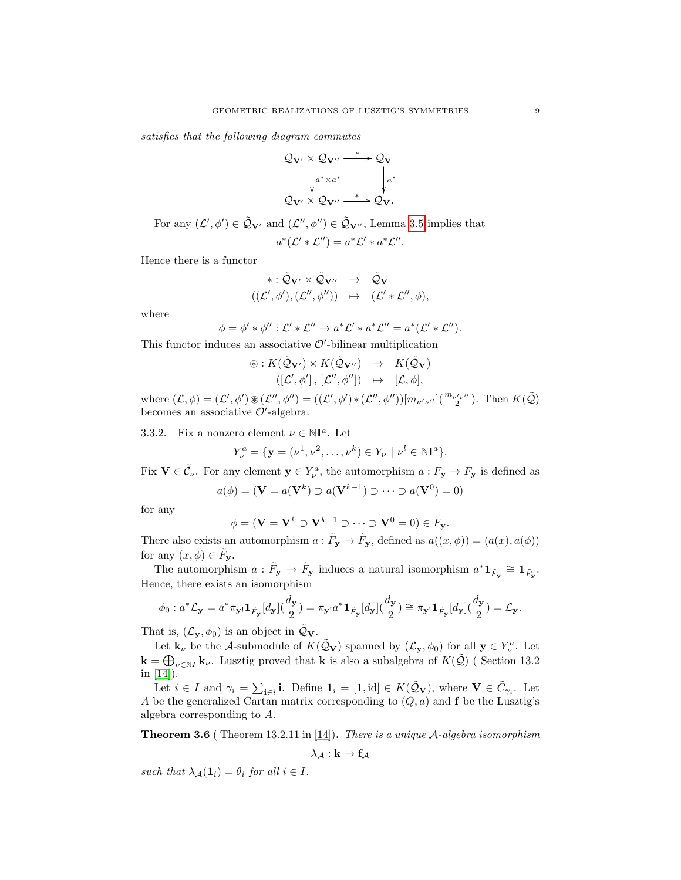satisfies that the following diagram commutes



For any  $(\mathcal{L}', \phi') \in \tilde{\mathcal{Q}}_{\mathbf{V}'}$  and  $(\mathcal{L}'', \phi'') \in \tilde{\mathcal{Q}}_{\mathbf{V}''}$ , Lemma [3.5](#page-7-0) implies that  $a^*(\mathcal{L}' * \mathcal{L}'') = a^*\mathcal{L}' * a^*\mathcal{L}''$ .

Hence there is a functor

$$
\begin{array}{rcl}\n\ast : \tilde{\mathcal{Q}}_{\mathbf{V}'} \times \tilde{\mathcal{Q}}_{\mathbf{V}''} & \to & \tilde{\mathcal{Q}}_{\mathbf{V}} \\
((\mathcal{L}', \phi'), (\mathcal{L}'', \phi'')) & \mapsto & (\mathcal{L}' * \mathcal{L}'', \phi),\n\end{array}
$$

where

$$
\phi = \phi' * \phi'' : \mathcal{L}' * \mathcal{L}'' \to a^* \mathcal{L}' * a^* \mathcal{L}'' = a^* (\mathcal{L}' * \mathcal{L}'').
$$

This functor induces an associative  $O'$ -bilinear multiplication

$$
\circledast: K(\tilde{\mathcal{Q}}_{\mathbf{V}'}) \times K(\tilde{\mathcal{Q}}_{\mathbf{V}''}) \rightarrow K(\tilde{\mathcal{Q}}_{\mathbf{V}}) ([\mathcal{L}', \phi'], [\mathcal{L}'', \phi'']) \rightarrow [\mathcal{L}, \phi],
$$

where  $(L, \phi) = (L', \phi') \circledast (L'', \phi'') = ((L', \phi') * (L'', \phi'')) [m_{\nu' \nu''}] \left( \frac{m_{\nu' \nu''}}{2} \right)$ . Then  $K(\tilde{Q})$ becomes an associative  $\mathcal{O}'$ -algebra.

<span id="page-8-0"></span>3.3.2. Fix a nonzero element  $\nu \in \mathbb{N}$ <sup>a</sup>. Let

$$
Y_{\nu}^{a} = \{ \mathbf{y} = (\nu^{1}, \nu^{2}, \dots, \nu^{k}) \in Y_{\nu} \mid \nu^{l} \in \mathbb{N} \mathbf{I}^{a} \}.
$$

Fix  $\mathbf{V} \in \tilde{C}_{\nu}$ . For any element  $\mathbf{y} \in Y_{\nu}^{a}$ , the automorphism  $a: F_{\mathbf{y}} \to F_{\mathbf{y}}$  is defined as

$$
a(\phi) = (\mathbf{V} = a(\mathbf{V}^k) \supset a(\mathbf{V}^{k-1}) \supset \cdots \supset a(\mathbf{V}^0) = 0)
$$

for any

$$
\phi = (\mathbf{V} = \mathbf{V}^k \supset \mathbf{V}^{k-1} \supset \cdots \supset \mathbf{V}^0 = 0) \in F_{\mathbf{y}}.
$$

There also exists an automorphism  $a: \tilde{F}_y \to \tilde{F}_y$ , defined as  $a((x, \phi)) = (a(x), a(\phi))$ for any  $(x, \phi) \in \tilde{F}_{\mathbf{y}}$ .

The automorphism  $a: \tilde{F}_y \to \tilde{F}_y$  induces a natural isomorphism  $a^* 1_{\tilde{F}_y} \cong 1_{\tilde{F}_y}$ . Hence, there exists an isomorphism

$$
\phi_0: a^*\mathcal{L}_\mathbf{y} = a^*\pi_{\mathbf{y}!}\mathbf{1}_{\tilde{F}_\mathbf{y}}[d_\mathbf{y}](\frac{d_\mathbf{y}}{2}) = \pi_{\mathbf{y}!}a^*\mathbf{1}_{\tilde{F}_\mathbf{y}}[d_\mathbf{y}](\frac{d_\mathbf{y}}{2}) \cong \pi_{\mathbf{y}!}\mathbf{1}_{\tilde{F}_\mathbf{y}}[d_\mathbf{y}](\frac{d_\mathbf{y}}{2}) = \mathcal{L}_\mathbf{y}.
$$

That is,  $(\mathcal{L}_{\mathbf{y}}, \phi_0)$  is an object in  $\mathcal{Q}_{\mathbf{V}}$ .

Let  $\mathbf{k}_{\nu}$  be the A-submodule of  $K(\tilde{Q}_{\mathbf{V}})$  spanned by  $(\mathcal{L}_{\mathbf{y}},\phi_0)$  for all  $\mathbf{y}\in Y_{\nu}^a$ . Let  $\mathbf{k} = \bigoplus_{\nu \in \mathbb{N}I} \mathbf{k}_{\nu}$ . Lusztig proved that **k** is also a subalgebra of  $K(\tilde{\mathcal{Q}})$  (Section 13.2) in [\[14\]](#page-26-3)).

Let  $i \in I$  and  $\gamma_i = \sum_{i \in i} \mathbf{i}$ . Define  $\mathbf{1}_i = [\mathbf{1}, \text{id}] \in K(\tilde{\mathcal{Q}}_{\mathbf{V}})$ , where  $\mathbf{V} \in \tilde{C}_{\gamma_i}$ . Let A be the generalized Cartan matrix corresponding to  $(Q, a)$  and **f** be the Lusztig's algebra corresponding to A.

**Theorem 3.6** (Theorem 13.2.11 in [\[14\]](#page-26-3)). There is a unique  $\mathcal{A}$ -algebra isomorphism

$$
\lambda_{\mathcal{A}} : \mathbf{k} \to \mathbf{f}_{\mathcal{A}}
$$

such that  $\lambda_A(1_i) = \theta_i$  for all  $i \in I$ .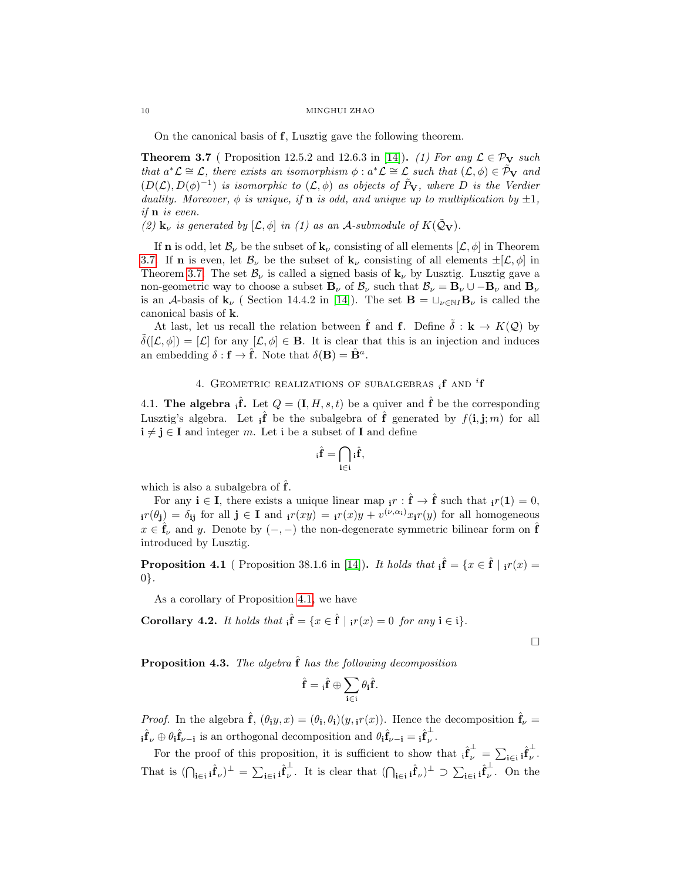#### 10 MINGHUI ZHAO

On the canonical basis of f, Lusztig gave the following theorem.

<span id="page-9-2"></span>**Theorem 3.7** ( Proposition 12.5.2 and 12.6.3 in [\[14\]](#page-26-3)). (1) For any  $\mathcal{L} \in \mathcal{P}_V$  such that  $a^*\mathcal{L} \cong \mathcal{L}$ , there exists an isomorphism  $\phi : a^*\mathcal{L} \cong \mathcal{L}$  such that  $(\mathcal{L}, \phi) \in \tilde{\mathcal{P}}_{\mathbf{V}}$  and  $(D(\mathcal{L}), D(\phi)^{-1})$  is isomorphic to  $(\mathcal{L}, \phi)$  as objects of  $\tilde{P}_V$ , where D is the Verdier duality. Moreover,  $\phi$  is unique, if **n** is odd, and unique up to multiplication by  $\pm 1$ , if n is even.

(2)  $\mathbf{k}_{\nu}$  is generated by  $[\mathcal{L}, \phi]$  in (1) as an A-submodule of  $K(\tilde{Q}_{\mathbf{V}})$ .

If **n** is odd, let  $\mathcal{B}_{\nu}$  be the subset of  $\mathbf{k}_{\nu}$  consisting of all elements  $[\mathcal{L}, \phi]$  in Theorem [3.7.](#page-9-2) If **n** is even, let  $\mathcal{B}_{\nu}$  be the subset of  $\mathbf{k}_{\nu}$  consisting of all elements  $\pm[\mathcal{L}, \phi]$  in Theorem [3.7.](#page-9-2) The set  $\mathcal{B}_{\nu}$  is called a signed basis of  $\mathbf{k}_{\nu}$  by Lusztig. Lusztig gave a non-geometric way to choose a subset  $\mathbf{B}_{\nu}$  of  $\mathcal{B}_{\nu}$  such that  $\mathcal{B}_{\nu} = \mathbf{B}_{\nu} \cup -\mathbf{B}_{\nu}$  and  $\mathbf{B}_{\nu}$ is an A-basis of  $\mathbf{k}_{\nu}$  ( Section 14.4.2 in [\[14\]](#page-26-3)). The set  $\mathbf{B} = \sqcup_{\nu \in \mathbb{N}I} \mathbf{B}_{\nu}$  is called the canonical basis of k.

At last, let us recall the relation between  $\hat{\mathbf{f}}$  and  $\mathbf{f}$ . Define  $\tilde{\delta}$  :  $\mathbf{k} \to K(\mathcal{Q})$  by  $\delta([\mathcal{L}, \phi]) = [\mathcal{L}]$  for any  $[\mathcal{L}, \phi] \in \mathbf{B}$ . It is clear that this is an injection and induces an embedding  $\delta$  :  $f \to \hat{f}$ . Note that  $\delta(\mathbf{B}) = \hat{\mathbf{B}}^a$ .

# 4. GEOMETRIC REALIZATIONS OF SUBALGEBRAS  $_i$ **f** and <sup> $i$ </sup>**f**

<span id="page-9-1"></span><span id="page-9-0"></span>4.1. The algebra  $\hat{\mathbf{f}}$ . Let  $Q = (\mathbf{I}, H, s, t)$  be a quiver and  $\hat{\mathbf{f}}$  be the corresponding Lusztig's algebra. Let  $\hat{f}$  be the subalgebra of  $\hat{f}$  generated by  $f(i, j; m)$  for all  $i \neq j \in I$  and integer m. Let i be a subset of I and define

$$
_{i}\hat{f}=\bigcap_{i\in i}{}_{i}\hat{f},
$$

which is also a subalgebra of  $\hat{f}$ .

For any  $\mathbf{i} \in \mathbf{I}$ , there exists a unique linear map  $i \in \hat{\mathbf{f}} \to \hat{\mathbf{f}}$  such that  $i \in \mathbf{I}$ ,  $i \in \mathbf{I}$ ,  $j \in \hat{\mathbf{f}}$  $i_r(\theta_j) = \delta_{ij}$  for all  $j \in I$  and  $i_r(xy) = i_r(x)y + v^{(\nu,\alpha_i)}x_ir(y)$  for all homogeneous  $x \in \hat{\mathbf{f}}_{\nu}$  and y. Denote by  $(-,-)$  the non-degenerate symmetric bilinear form on  $\hat{\mathbf{f}}$ introduced by Lusztig.

<span id="page-9-3"></span>**Proposition 4.1** ( Proposition 38.1.6 in [\[14\]](#page-26-3)). It holds that  $\hat{\mathbf{i}} = \{x \in \hat{\mathbf{f}} \mid \hat{\mathbf{i}}(x) =$ 0}.

As a corollary of Proposition [4.1,](#page-9-3) we have

**Corollary 4.2.** It holds that  $\hat{\mathbf{i}} = \{x \in \hat{\mathbf{f}} \mid \mathbf{i}r(x) = 0 \text{ for any } \mathbf{i} \in \mathbf{i}\}.$ 

 $\Box$ 

**Proposition 4.3.** The algebra  $\hat{\mathbf{f}}$  has the following decomposition

$$
\hat{\mathbf{f}} = {}_{\mathfrak{i}} \hat{\mathbf{f}} \oplus \sum_{\mathbf{i} \in \mathfrak{i}} \theta_{\mathbf{i}} \hat{\mathbf{f}}.
$$

*Proof.* In the algebra  $\hat{\mathbf{f}}$ ,  $(\theta_i y, x) = (\theta_i, \theta_i)(y, i r(x))$ . Hence the decomposition  $\hat{\mathbf{f}}_\nu$  ${}_i\hat{f}_\nu\oplus\theta_i\hat{f}_{\nu-i}$  is an orthogonal decomposition and  $\theta_i\hat{f}_{\nu-i} = {}_i\hat{f}_\nu^\perp$  $\frac{1}{\nu}$ .

For the proof of this proposition, it is sufficient to show that  $\hat{i}^{\perp}_{\nu} = \sum_{i \in i} \hat{i}^{\perp}_{\nu}$  $\frac{1}{\nu}$ . That is  $(\bigcap_{i \in i} \hat{f}_{\nu})^{\perp} = \sum_{i \in i} \hat{f}_{\nu}^{\perp}$ <sup> $\perp$ </sup>. It is clear that  $(\bigcap_{i\in i} \hat{f}_{\nu})^{\perp} \supset \sum_{i\in i} \hat{f}_{\nu}^{\perp}$  $\overline{\nu}$ . On the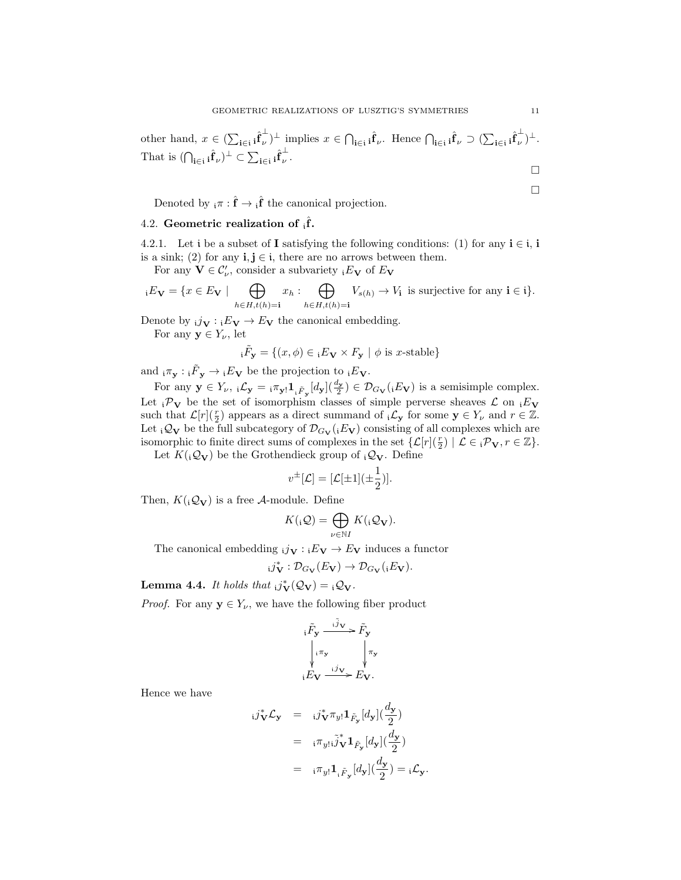other hand, 
$$
x \in (\sum_{\mathbf{i} \in \mathbf{i}} \hat{\mathbf{f}}_{\nu}^{\perp})^{\perp}
$$
 implies  $x \in \bigcap_{\mathbf{i} \in \mathbf{i}} \hat{\mathbf{f}}_{\nu}^{\perp}$ . Hence  $\bigcap_{\mathbf{i} \in \mathbf{i}} \hat{\mathbf{f}}_{\nu} \supset (\sum_{\mathbf{i} \in \mathbf{i}} \hat{\mathbf{f}}_{\nu}^{\perp})^{\perp}$ .  
That is  $(\bigcap_{\mathbf{i} \in \mathbf{i}} \hat{\mathbf{f}}_{\nu})^{\perp} \subset \sum_{\mathbf{i} \in \mathbf{i}} \hat{\mathbf{f}}_{\nu}^{\perp}$ .

Denoted by  $_{i}\pi$ :  $\hat{\mathbf{f}} \to {}_{i}\hat{\mathbf{f}}$  the canonical projection.

# <span id="page-10-0"></span>4.2. Geometric realization of  $_{i} \hat{f}$ .

4.2.1. Let i be a subset of I satisfying the following conditions: (1) for any  $i \in i$ , i is a sink; (2) for any  $\mathbf{i}, \mathbf{j} \in \mathbf{i}$ , there are no arrows between them.

For any  $\mathbf{V} \in \mathcal{C}'_{\nu}$ , consider a subvariety  ${}_iE_{\mathbf{V}}$  of  $E_{\mathbf{V}}$ 

$$
{}_iE_{\mathbf{V}} = \{ x \in E_{\mathbf{V}} \mid \bigoplus_{h \in H, t(h) = \mathbf{i}} x_h : \bigoplus_{h \in H, t(h) = \mathbf{i}} V_{s(h)} \to V_{\mathbf{i}} \text{ is surjective for any } \mathbf{i} \in \mathbf{i} \}.
$$

Denote by  $i\dot{\mathbf{j}}_{\mathbf{V}} : iE_{\mathbf{V}} \to E_{\mathbf{V}}$  the canonical embedding.

For any  $y \in Y_{\nu}$ , let

$$
{}_{i}\tilde{F}_{\mathbf{y}} = \{(x,\phi) \in {}_{i}E_{\mathbf{V}} \times F_{\mathbf{y}} \mid \phi \text{ is } x\text{-stable}\}
$$

and  $_{i}\pi_{\mathbf{y}}: {}_{i}\tilde{F}_{\mathbf{y}} \to {}_{i}E_{\mathbf{V}}$  be the projection to  $_{i}E_{\mathbf{V}}$ .

For any  $\mathbf{y} \in Y_{\nu}$ ,  $i\mathcal{L}_{\mathbf{y}} = i\pi_{\mathbf{y}!} \mathbf{1}_{i \tilde{F}_{\mathbf{y}}}[d_{\mathbf{y}}](\frac{d_{\mathbf{y}}}{2}) \in \mathcal{D}_{G_{\mathbf{V}}}(iE_{\mathbf{V}})$  is a semisimple complex. Let  ${}_{i}\mathcal{P}_{V}$  be the set of isomorphism classes of simple perverse sheaves  $\mathcal{L}$  on  ${}_{i}E_{V}$ such that  $\mathcal{L}[r](\frac{r}{2})$  appears as a direct summand of  ${}_{i}\mathcal{L}_{\mathbf{y}}$  for some  $\mathbf{y} \in Y_{\nu}$  and  $r \in \mathbb{Z}$ . Let  ${}_{i}Q_{V}$  be the full subcategory of  $\mathcal{D}_{G_{V}}({}_{i}E_{V})$  consisting of all complexes which are isomorphic to finite direct sums of complexes in the set  $\{\mathcal{L}[r](\frac{r}{2}) \mid \mathcal{L} \in i\mathcal{P}_v, r \in \mathbb{Z}\}.$ 

Let  $K({}_i\mathcal{Q}_{\mathbf{V}})$  be the Grothendieck group of  ${}_i\mathcal{Q}_{\mathbf{V}}$ . Define

$$
v^{\pm}[\mathcal{L}] = [\mathcal{L}[\pm 1](\pm \frac{1}{2})].
$$

Then,  $K({}_i\mathcal{Q}_{\mathbf{V}})$  is a free A-module. Define

$$
K(\mathbf{Q}) = \bigoplus_{\nu \in \mathbb{N}I} K(\mathbf{Q}_{\mathbf{V}}).
$$

The canonical embedding  $_{i}j_{\mathbf{V}}:{}_{i}E_{\mathbf{V}} \to E_{\mathbf{V}}$  induces a functor

$$
i j_{\mathbf{V}}^* : \mathcal{D}_{G_{\mathbf{V}}}(E_{\mathbf{V}}) \to \mathcal{D}_{G_{\mathbf{V}}}(iE_{\mathbf{V}}).
$$

**Lemma 4.4.** It holds that  $i j_V^*(\mathcal{Q}_V) = i \mathcal{Q}_V$ .

*Proof.* For any  $y \in Y_{\nu}$ , we have the following fiber product

$$
\begin{aligned}\n &\tilde{F}_{\mathbf{y}} \xrightarrow{\tilde{i}y} \tilde{F}_{\mathbf{y}} \\
 &\downarrow \pi_y \\
 &\downarrow \pi_y\n \end{aligned}
$$

Hence we have

$$
i j_V^* \mathcal{L}_y = i j_V^* \pi_{y!} \mathbf{1}_{\tilde{F}_y} [d_y] \left(\frac{d_y}{2}\right)
$$
  

$$
= i \pi_{y!} i \tilde{j}_V \mathbf{1}_{\tilde{F}_y} [d_y] \left(\frac{d_y}{2}\right)
$$
  

$$
= i \pi_{y!} \mathbf{1}_{i \tilde{F}_y} [d_y] \left(\frac{d_y}{2}\right) = i \mathcal{L}_y.
$$

 $\Box$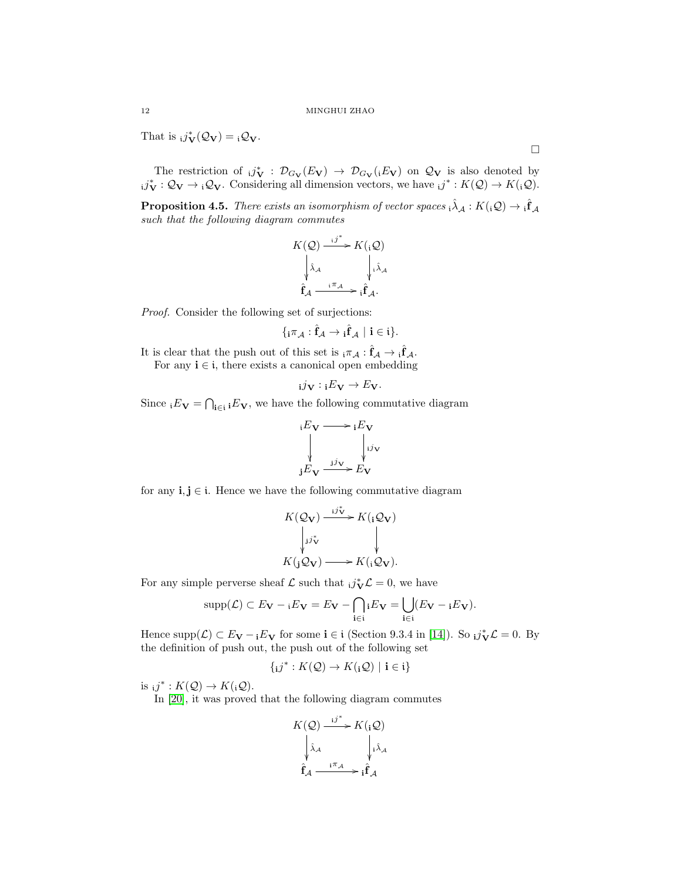That is  $i\vec{\jmath}_{\mathbf{V}}(\mathcal{Q}_{\mathbf{V}}) = i\mathcal{Q}_{\mathbf{V}}$ .

The restriction of  $i j_V^* : \mathcal{D}_{G_V}(E_V) \to \mathcal{D}_{G_V}(E_V)$  on  $\mathcal{Q}_V$  is also denoted by  $i j_V^* : \mathcal{Q}_V \to i \mathcal{Q}_V$ . Considering all dimension vectors, we have  $i j^* : K(\mathcal{Q}) \to K(i \mathcal{Q})$ .

<span id="page-11-0"></span>**Proposition 4.5.** There exists an isomorphism of vector spaces  $\hat{i}$ ,  $\hat{\lambda}_A$  :  $K(i\mathcal{Q}) \rightarrow \hat{i}$  $\hat{f}_A$ such that the following diagram commutes

$$
K(Q) \xrightarrow{i j^*} K({}_{i}Q)
$$

$$
\downarrow \hat{\lambda}_{A} \qquad \qquad \downarrow \hat{\lambda}_{A}
$$

$$
\hat{\mathbf{f}}_{A} \xrightarrow{i \pi_{A}} \hat{\mathbf{f}}_{A}.
$$

Proof. Consider the following set of surjections:

$$
\{{}_i\pi_{\mathcal{A}}:\hat{f}_{\mathcal{A}}\rightarrow {}_i\hat{f}_{\mathcal{A}}\ |\ i\in\mathfrak{i}\}.
$$

It is clear that the push out of this set is  ${}_{i}\pi_{A}$  :  $\hat{\mathbf{f}}_{A} \to {}_{i}\hat{\mathbf{f}}_{A}$ . For any  $i \in i$ , there exists a canonical open embedding

$$
_{\mathbf{i}}j_{\mathbf{V}}:\mathbf{i}E_{\mathbf{V}}\rightarrow E_{\mathbf{V}}.
$$

Since  ${}_{i}E_{\mathbf{V}} = \bigcap_{\mathbf{i} \in \mathbf{i}} E_{\mathbf{V}}$ , we have the following commutative diagram

$$
\begin{array}{ccc}\n\phantom{+} & & \rightarrow & E_V \\
\downarrow & & \downarrow & \\
\downarrow & & \downarrow & \\
\downarrow & & \downarrow & \\
\downarrow & & \downarrow & \\
E_V & \xrightarrow{jy} & E_V\n\end{array}
$$

for any  $\mathbf{i}, \mathbf{j} \in \mathbf{i}$ . Hence we have the following commutative diagram

$$
K(Q_V) \xrightarrow{i j_V^*} K({}_1Q_V)
$$
  
\n
$$
\downarrow \downarrow j_V^*
$$
  
\n
$$
K({}_1Q_V) \longrightarrow K({}_1Q_V).
$$

For any simple perverse sheaf  $\mathcal L$  such that  $i\mathbf{j}_{\mathbf{V}}^* \mathcal L = 0$ , we have

$$
\mathrm{supp}(\mathcal{L}) \subset E_{\mathbf{V}} - {}_i E_{\mathbf{V}} = E_{\mathbf{V}} - \bigcap_{\mathbf{i} \in \mathbf{i}} {}_i E_{\mathbf{V}} = \bigcup_{\mathbf{i} \in \mathbf{i}} (E_{\mathbf{V}} - {}_i E_{\mathbf{V}}).
$$

Hence supp $(\mathcal{L}) \subset E_{\mathbf{V}} - iE_{\mathbf{V}}$  for some  $\mathbf{i} \in \mathfrak{i}$  (Section 9.3.4 in [\[14\]](#page-26-3)). So  $i\mathbf{j}_{\mathbf{V}}^* \mathcal{L} = 0$ . By the definition of push out, the push out of the following set

$$
\{i\jmath^*: K(\mathcal{Q}) \to K(i\mathcal{Q}) \mid i \in i\}
$$

is  $i j^* : K(\mathcal{Q}) \to K(i\mathcal{Q})$ .

In [\[20\]](#page-26-16), it was proved that the following diagram commutes

$$
K(\mathcal{Q}) \xrightarrow{i j^*} K(\mathbf{i} \mathcal{Q})
$$

$$
\downarrow \hat{\lambda}_{\mathcal{A}} \qquad \qquad \downarrow \hat{\lambda}_{\mathcal{A}}
$$

$$
\hat{\mathbf{f}}_{\mathcal{A}} \xrightarrow{i \pi_{\mathcal{A}}} \mathbf{i} \hat{\mathbf{f}}_{\mathcal{A}}
$$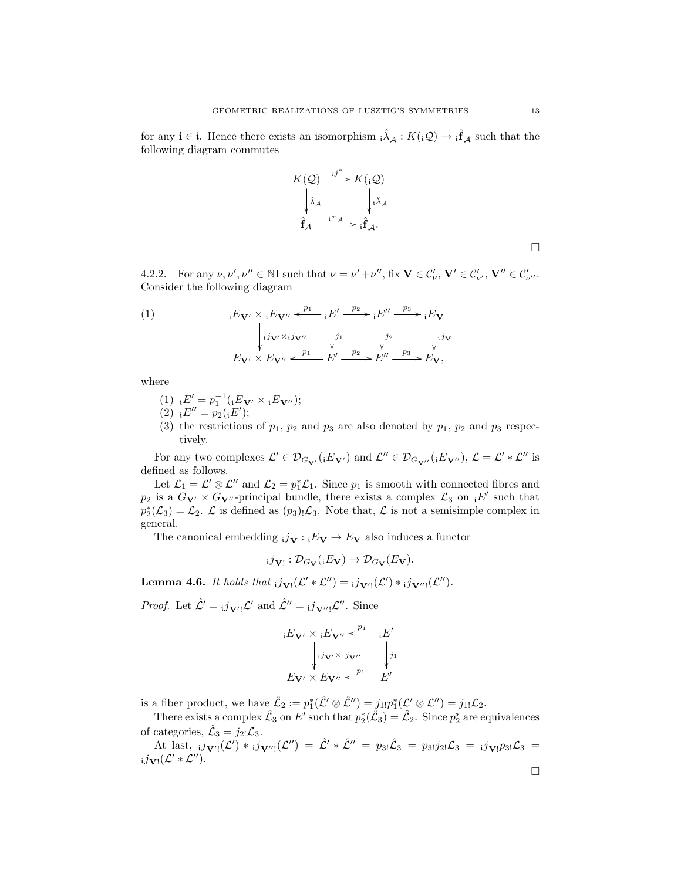for any  $i \in i$ . Hence there exists an isomorphism  $\hat{i} \lambda_A : K(i\mathcal{Q}) \to \hat{i} \hat{f}_A$  such that the following diagram commutes

<span id="page-12-1"></span>
$$
K(Q) \xrightarrow{i j^*} K(iQ)
$$
\n
$$
\begin{array}{ccc}\n\downarrow \hat{\lambda}_A & \downarrow \hat{\lambda}_A \\
\hat{f}_A & \downarrow \hat{f}_A.\n\end{array}
$$
\n
$$
\hat{f}_A \xrightarrow{i \pi_A} i \hat{f}_A.
$$

4.2.2. For any  $\nu, \nu', \nu'' \in \mathbb{N}$ **I** such that  $\nu = \nu' + \nu''$ , fix  $\mathbf{V} \in \mathcal{C}'_{\nu}$ ,  $\mathbf{V}' \in \mathcal{C}'_{\nu'}$ ,  $\mathbf{V}'' \in \mathcal{C}'_{\nu''}$ . Consider the following diagram

(1) 
$$
iE_{\mathbf{V}'} \times iE_{\mathbf{V}''} \xleftarrow{p_1} iE' \xrightarrow{p_2} iE'' \xrightarrow{p_3} iE_{\mathbf{V}}
$$

$$
\begin{vmatrix} ij_{\mathbf{V}'} \times ij_{\mathbf{V}''} & j_1 & j_2 & j_{\mathbf{V}} \\ i'_{\mathbf{V}'} \times E_{\mathbf{V}''} & \xleftarrow{p_1} E' \xrightarrow{p_2} E'' \xrightarrow{p_3} E_{\mathbf{V}}, \end{vmatrix}
$$

where

- (1)  ${}_{i}E' = p_{1}^{-1}({}_{i}E_{V'} \times {}_{i}E_{V''});$
- (2)  $E'' = p_2(iE');$
- (3) the restrictions of  $p_1$ ,  $p_2$  and  $p_3$  are also denoted by  $p_1$ ,  $p_2$  and  $p_3$  respectively.

For any two complexes  $\mathcal{L}' \in \mathcal{D}_{G_{\mathbf{V}'}}({}_{i}E_{\mathbf{V}'})$  and  $\mathcal{L}'' \in \mathcal{D}_{G_{\mathbf{V}''}}({}_{i}E_{\mathbf{V}''}), \mathcal{L} = \mathcal{L}' * \mathcal{L}''$  is defined as follows.

Let  $\mathcal{L}_1 = \mathcal{L}' \otimes \mathcal{L}''$  and  $\mathcal{L}_2 = p_1^* \mathcal{L}_1$ . Since  $p_1$  is smooth with connected fibres and  $p_2$  is a  $G_{\mathbf{V'}} \times G_{\mathbf{V''}}$ -principal bundle, there exists a complex  $\mathcal{L}_3$  on  $E'$  such that  $p_2^*(\mathcal{L}_3) = \mathcal{L}_2$ .  $\mathcal{L}$  is defined as  $(p_3)$ ,  $\mathcal{L}_3$ . Note that,  $\mathcal{L}$  is not a semisimple complex in general.

The canonical embedding  $i_j\mathbf{y} : E_V \to E_V$  also induces a functor

$$
_{i}j_{\mathbf{V}!}:\mathcal{D}_{G_{\mathbf{V}}}(iE_{\mathbf{V}})\to\mathcal{D}_{G_{\mathbf{V}}}(E_{\mathbf{V}}).
$$

<span id="page-12-0"></span>**Lemma 4.6.** It holds that  $_{i}j_{\mathbf{V}!}(\mathcal{L}' * \mathcal{L}'') = _{i}j_{\mathbf{V}'}!(\mathcal{L}') * _{i}j_{\mathbf{V}''!}(\mathcal{L}'')$ .

*Proof.* Let  $\hat{\mathcal{L}}' = i \, j_{\mathbf{V}'} \, \mathcal{L}'$  and  $\hat{\mathcal{L}}'' = i \, j_{\mathbf{V}'' \, \mathcal{L}''}$ . Since

$$
{}_{i}E_{\mathbf{V}'} \times {}_{i}E_{\mathbf{V}''} \xleftarrow{\mathbf{P}^{1}} {}_{i}E'
$$

$$
\downarrow_{i} j_{\mathbf{V}'} \times {}_{i}j_{\mathbf{V}''}
$$

$$
E_{\mathbf{V}'} \times E_{\mathbf{V}''} \xleftarrow{p_{1}} E'
$$

is a fiber product, we have  $\hat{\mathcal{L}}_2 := p_1^*(\hat{\mathcal{L}}' \otimes \hat{\mathcal{L}}'') = j_{1!}p_1^*(\mathcal{L}' \otimes \mathcal{L}'') = j_{1!} \mathcal{L}_2$ .

There exists a complex  $\hat{\mathcal{L}}_3$  on  $E'$  such that  $p_2^*(\hat{\mathcal{L}}_3) = \hat{\mathcal{L}}_2$ . Since  $p_2^*$  are equivalences of categories,  $\hat{\mathcal{L}}_3 = j_{2!} \mathcal{L}_3$ .

At last,  $_{i}j_{\mathbf{V}''}(\mathcal{L}') *_{i}j_{\mathbf{V}''}(\mathcal{L}'') = \hat{\mathcal{L}}' * \hat{\mathcal{L}}'' = p_{3!}\hat{\mathcal{L}}_{3} = p_{3!}j_{2!}\mathcal{L}_{3} =_{i}j_{\mathbf{V}!}p_{3!}\mathcal{L}_{3} =$  $_{i}j_{V!}(\mathcal{L}' * \mathcal{L}'').$  $\Box$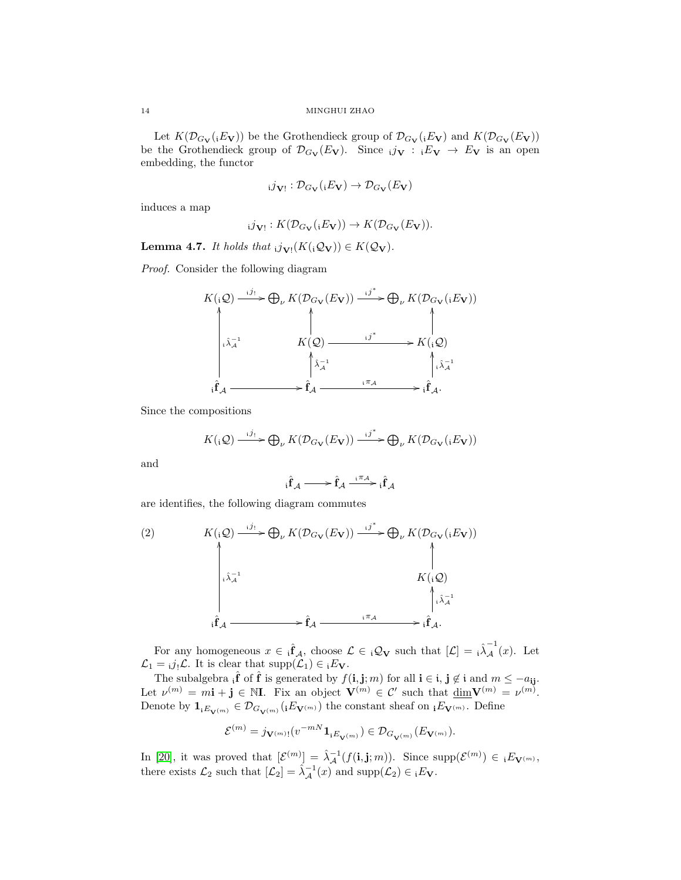Let  $K(\mathcal{D}_{G_V}(iE_V))$  be the Grothendieck group of  $\mathcal{D}_{G_V}(iE_V)$  and  $K(\mathcal{D}_{G_V}(E_V))$ be the Grothendieck group of  $\mathcal{D}_{G_V}(E_V)$ . Since  $i_j \mathcal{U} : i \mathcal{E}_V \to E_V$  is an open embedding, the functor

$$
_{i}j_{\mathbf{V}!}:\mathcal{D}_{G_{\mathbf{V}}}(iE_{\mathbf{V}})\rightarrow \mathcal{D}_{G_{\mathbf{V}}}(E_{\mathbf{V}})
$$

induces a map

$$
i\mathcal{J}_{\mathbf{V}!}: K(\mathcal{D}_{G_{\mathbf{V}}}(iE_{\mathbf{V}})) \to K(\mathcal{D}_{G_{\mathbf{V}}}(E_{\mathbf{V}})).
$$

<span id="page-13-1"></span>**Lemma 4.7.** It holds that  $i j_{\mathbf{V}!}(K(i\mathcal{Q}_{\mathbf{V}})) \in K(\mathcal{Q}_{\mathbf{V}})$ .

Proof. Consider the following diagram

$$
K(\mathbf{i} \mathcal{Q}) \xrightarrow{\mathbf{i} j_{\mathbf{i}}} \bigoplus_{\nu} K(\mathcal{D}_{G_{\mathbf{V}}}(E_{\mathbf{V}})) \xrightarrow{\mathbf{i} j^{*}} \bigoplus_{\nu} K(\mathcal{D}_{G_{\mathbf{V}}}(\mathbf{i} E_{\mathbf{V}}))
$$
\n
$$
\downarrow \qquad \qquad K(\mathcal{Q}) \xrightarrow{\mathbf{i} j^{*}} K(\mathbf{i} \mathcal{Q})
$$
\n
$$
\downarrow \uparrow \downarrow \qquad \qquad \downarrow \uparrow \downarrow \downarrow
$$
\n
$$
\mathbf{i} \mathbf{f}_{\mathcal{A}} \xrightarrow{\mathbf{i} \pi_{\mathcal{A}}} \mathbf{f}_{\mathcal{A}} \xrightarrow{\mathbf{i} \pi_{\mathcal{A}}} \mathbf{i} \mathbf{f}_{\mathcal{A}}.
$$

Since the compositions

$$
K(\mathbf{Q}) \xrightarrow{\mathbf{i}j_{!}} \bigoplus_{\nu} K(\mathcal{D}_{G_{\mathbf{V}}}(E_{\mathbf{V}})) \xrightarrow{\mathbf{i}j^{*}} \bigoplus_{\nu} K(\mathcal{D}_{G_{\mathbf{V}}}(\mathbf{i}E_{\mathbf{V}}))
$$

and

<span id="page-13-0"></span>
$$
{}_{i}\hat{f}_{\mathcal{A}}\xrightarrow{\qquad \quad \ \ }{\hat{f}_{\mathcal{A}}}\xrightarrow{\;\;{}^{i}\mathcal{\pi}_{\mathcal{A}}}\;{}_{i}\hat{f}_{\mathcal{A}}
$$

are identifies, the following diagram commutes

(2) 
$$
K(i, Q) \xrightarrow{i j_1} \bigoplus_{\nu} K(\mathcal{D}_{G_V}(E_V)) \xrightarrow{i j^*} \bigoplus_{\nu} K(\mathcal{D}_{G_V}(iE_V))
$$
\n
$$
\downarrow \qquad K(i, Q)
$$
\n
$$
K(i, Q)
$$
\n
$$
\downarrow \qquad K(i, Q)
$$
\n
$$
\downarrow \qquad \qquad i \hat{f}_A \xrightarrow{i \pi_A} \qquad i \hat{f}_A.
$$

For any homogeneous  $x \in \hat{f}_A$ , choose  $\mathcal{L} \in {}_{i}\mathcal{Q}_{\mathbf{V}}$  such that  $[\mathcal{L}] = {}_{i}\hat{\lambda}^{-1}_A(x)$ . Let  $\mathcal{L}_1 = i j_! \mathcal{L}$ . It is clear that supp $(\mathcal{L}_1) \in i E_V$ .

The subalgebra  $\hat{i}$  of  $\hat{f}$  is generated by  $f(i, j; m)$  for all  $i \in i, j \notin i$  and  $m \leq -a_{ij}$ . Let  $\nu^{(m)} = m\mathbf{i} + \mathbf{j} \in \mathbb{N}$ . Fix an object  $\mathbf{V}^{(m)} \in \mathcal{C}'$  such that  $\underline{\dim} \mathbf{V}^{(m)} = \nu^{(m)}$ . Denote by  $\mathbf{1}_{iE_{\mathbf{V}^{(m)}}} \in \mathcal{D}_{G_{\mathbf{V}^{(m)}}}(iE_{\mathbf{V}^{(m)}})$  the constant sheaf on  $_iE_{\mathbf{V}^{(m)}}$ . Define

$$
\mathcal{E}^{(m)}=j_{\mathbf{V}^{(m)}!}(v^{-mN}\mathbf{1}_{\mathbf{i} E_{\mathbf{V}^{(m)}}})\in \mathcal{D}_{G_{\mathbf{V}^{(m)}}}(E_{\mathbf{V}^{(m)}}).
$$

In [\[20\]](#page-26-16), it was proved that  $[\mathcal{E}^{(m)}] = \hat{\lambda}^{-1}_{\mathcal{A}}(f(\mathbf{i}, \mathbf{j}; m))$ . Since  $\text{supp}(\mathcal{E}^{(m)}) \in {}_{\mathbf{i}}E_{\mathbf{V}^{(m)}},$ there exists  $\mathcal{L}_2$  such that  $[\mathcal{L}_2] = \hat{\lambda}^{-1}_{\mathcal{A}}(x)$  and  $\text{supp}(\mathcal{L}_2) \in {}_iE_{\mathbf{V}}$ .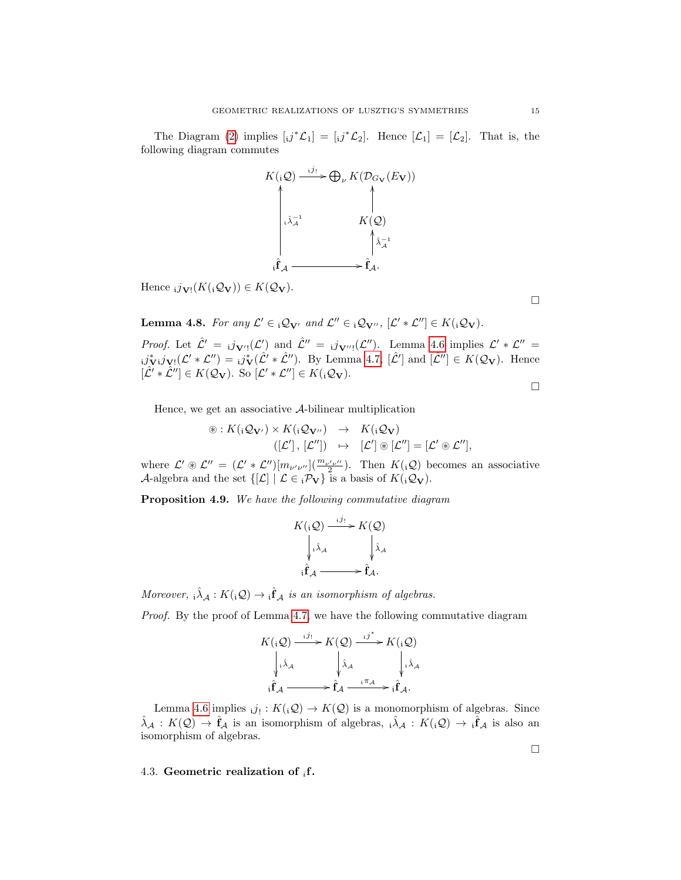The Diagram [\(2\)](#page-13-0) implies  $[j^*{\mathcal{L}}_1] = [ij^*{\mathcal{L}}_2]$ . Hence  $[{\mathcal{L}}_1] = [{\mathcal{L}}_2]$ . That is, the following diagram commutes



Hence  $_{i}j_{\mathbf{V}!}(K({}_{i}\mathcal{Q}_{\mathbf{V}})) \in K(\mathcal{Q}_{\mathbf{V}}).$ 

<span id="page-14-1"></span>**Lemma 4.8.** For any  $\mathcal{L}' \in \mathcal{Q}_{V'}$  and  $\mathcal{L}'' \in \mathcal{Q}_{V''},$   $[\mathcal{L}' * \mathcal{L}''] \in K({}_{\mathbf{i}}\mathcal{Q}_{V}).$ 

*Proof.* Let  $\hat{\mathcal{L}}' = i\mathbf{j}_{\mathbf{V}'}(\mathcal{L}')$  and  $\hat{\mathcal{L}}'' = i\mathbf{j}_{\mathbf{V}'''}(\mathcal{L}'')$ . Lemma [4.6](#page-12-0) implies  $\mathcal{L}' * \mathcal{L}'' =$  $i\hat{\jmath}_{\mathbf{V}}^*i\hat{\jmath}_{\mathbf{V}}(\mathcal{L}' * \mathcal{L}'') = i\hat{\jmath}_{\mathbf{V}}^*(\hat{\mathcal{L}}' * \hat{\mathcal{L}}'')$ . By Lemma [4.7,](#page-13-1)  $[\hat{\mathcal{L}}']$  and  $[\hat{\mathcal{L}}''] \in K(\mathcal{Q}_{\mathbf{V}})$ . Hence  $[\hat{\mathcal{L}}' * \hat{\mathcal{L}}''] \in K(\mathcal{Q}_{\mathbf{V}}).$  So  $[\mathcal{L}' * \mathcal{L}''] \in K({}_i\mathcal{Q}_{\mathbf{V}}).$ 

 $\Box$ 

 $\Box$ 

 $\Box$ 

Hence, we get an associative A-bilinear multiplication

$$
\circledast: K({}_{\mathbf{i}}\mathcal{Q}_{\mathbf{V}'}) \times K({}_{\mathbf{i}}\mathcal{Q}_{\mathbf{V}''}) \rightarrow K({}_{\mathbf{i}}\mathcal{Q}_{\mathbf{V}})
$$
  

$$
([\mathcal{L}'], [\mathcal{L}'']) \rightarrow [\mathcal{L}'] \circledast [\mathcal{L}''] = [\mathcal{L}' \circledast \mathcal{L}''],
$$

where  $\mathcal{L}' \circledast \mathcal{L}'' = (\mathcal{L}' * \mathcal{L}'') [m_{\nu'\nu''}] (\frac{m_{\nu'\nu''}}{2})$ . Then  $K({}_i\mathcal{Q})$  becomes an associative A-algebra and the set  $\{[\mathcal{L}] \mid \mathcal{L} \in {}_{i} \mathcal{P}_{V}\}$  is a basis of  $K({}_{i} \mathcal{Q}_{V})$ .

<span id="page-14-2"></span>Proposition 4.9. We have the following commutative diagram

$$
K(\mathbf{i} \mathcal{Q}) \xrightarrow{\mathbf{i} j_{1}} K(\mathcal{Q})
$$

$$
\downarrow \mathbf{i} \mathbf{\hat{A}}_{\mathcal{A}} \qquad \qquad \downarrow \mathbf{\hat{A}}_{\mathcal{A}}
$$

$$
\mathbf{i} \mathbf{\hat{f}}_{\mathcal{A}} \longrightarrow \mathbf{\hat{f}}_{\mathcal{A}}.
$$

Moreover,  $\hat{i} \hat{\lambda}_A : K(i\mathcal{Q}) \to \hat{f} A$  is an isomorphism of algebras.

Proof. By the proof of Lemma [4.7,](#page-13-1) we have the following commutative diagram

$$
K(iQ) \xrightarrow{i j_!} K(Q) \xrightarrow{i j^*} K(iQ)
$$
  
\n
$$
\downarrow_{i \hat{\lambda}_{\mathcal{A}}} \qquad \qquad \downarrow_{\hat{\lambda}_{\mathcal{A}}} \qquad \qquad \downarrow_{i \hat{\lambda}_{\mathcal{A}}} \qquad \qquad \downarrow_{i \hat{\lambda}_{\mathcal{A}}}
$$
  
\n
$$
i \hat{\mathbf{f}}_{\mathcal{A}} \xrightarrow{i \pi_{\mathcal{A}}} \hat{\mathbf{f}}_{\mathcal{A}}.
$$

Lemma [4.6](#page-12-0) implies  $_{i}j_{!}: K({_{i}}\mathcal{Q}) \to K(\mathcal{Q})$  is a monomorphism of algebras. Since  $\hat{\lambda}_{\mathcal{A}}: K(\mathcal{Q}) \to \hat{\mathbf{f}}_{\mathcal{A}}$  is an isomorphism of algebras,  $\hat{\lambda}_{\mathcal{A}}: K({}_{i}\mathcal{Q}) \to \hat{\mathbf{f}}_{\mathcal{A}}$  is also an isomorphism of algebras.

<span id="page-14-0"></span>4.3. Geometric realization of  $_i$ f.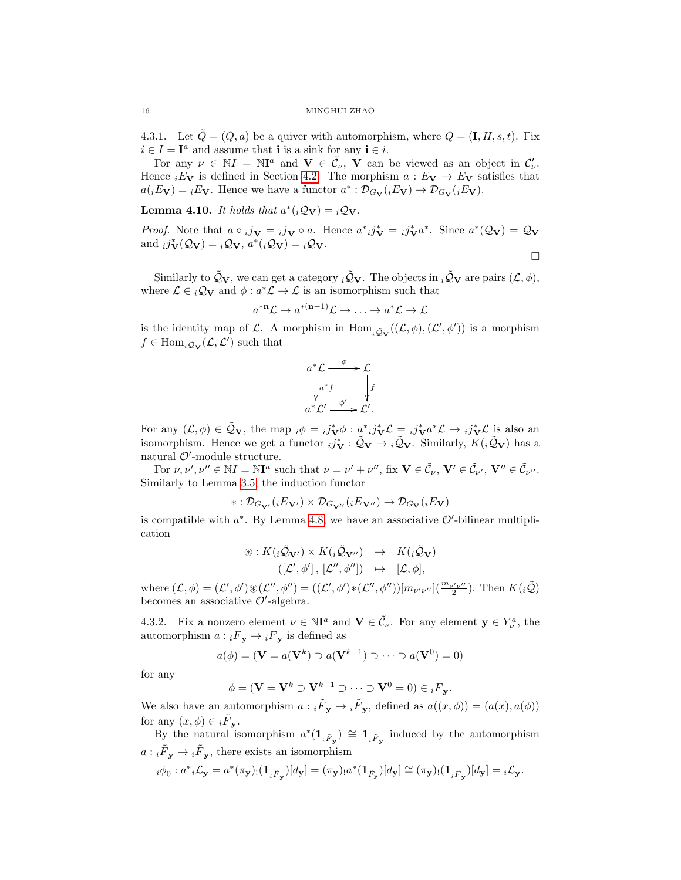4.3.1. Let  $\tilde{Q} = (Q, a)$  be a quiver with automorphism, where  $Q = (\mathbf{I}, H, s, t)$ . Fix  $i \in I = I^a$  and assume that **i** is a sink for any  $i \in i$ .

For any  $\nu \in NI = NI^a$  and  $\mathbf{V} \in \tilde{C}_\nu$ ,  $\mathbf{V}$  can be viewed as an object in  $C'_\nu$ . Hence  $iE_V$  is defined in Section [4.2.](#page-10-0) The morphism  $a : E_V \to E_V$  satisfies that  $a({}_i E_V) = {}_i E_V$ . Hence we have a functor  $a^* : \mathcal{D}_{G_V}(i E_V) \to \mathcal{D}_{G_V}(i E_V)$ .

**Lemma 4.10.** It holds that  $a^*(i\mathcal{Q}_V) = i\mathcal{Q}_V$ .

*Proof.* Note that  $a \circ i j_{\mathbf{V}} = i j_{\mathbf{V}} \circ a$ . Hence  $a^* i j_{\mathbf{V}}^* = i j_{\mathbf{V}}^* a^*$ . Since  $a^* (\mathcal{Q}_{\mathbf{V}}) = \mathcal{Q}_{\mathbf{V}}$ and  $_i j_V^*(\mathcal{Q}_V) = i \mathcal{Q}_V, a^*(i\mathcal{Q}_V) = i\mathcal{Q}_V.$ 

 $\Box$ 

Similarly to  $\tilde{Q}_V$ , we can get a category  $i\tilde{Q}_V$ . The objects in  $i\tilde{Q}_V$  are pairs  $(\mathcal{L}, \phi)$ , where  $\mathcal{L} \in {}_{i}\mathcal{Q}_{\mathbf{V}}$  and  $\phi : a^*\mathcal{L} \to \mathcal{L}$  is an isomorphism such that

$$
a^{*n}\mathcal{L} \to a^{* (n-1)}\mathcal{L} \to \ldots \to a^* \mathcal{L} \to \mathcal{L}
$$

is the identity map of L. A morphism in  $\text{Hom}_{\tilde{\mathcal{Q}}_{\mathbf{V}}}((\mathcal{L},\phi),(\mathcal{L}',\phi'))$  is a morphism  $f \in \text{Hom}_{i\mathcal{Q}_{\mathbf{V}}}(\mathcal{L}, \mathcal{L}')$  such that



For any  $(\mathcal{L}, \phi) \in \tilde{\mathcal{Q}}_{\mathbf{V}},$  the map  ${}_i\phi = {}_i j^*_{\mathbf{V}} \phi : a^* {}_i j^*_{\mathbf{V}} \mathcal{L} = {}_i j^*_{\mathbf{V}} a^* \mathcal{L} \rightarrow {}_i j^*_{\mathbf{V}} \mathcal{L}$  is also an isomorphism. Hence we get a functor  $_i j_V^* : \tilde{Q}_V \to i \tilde{Q}_V$ . Similarly,  $K(i \tilde{Q}_V)$  has a natural  $\mathcal{O}'$ -module structure.

For  $\nu, \nu', \nu'' \in \mathbb{N}I = \mathbb{N}I^a$  such that  $\nu = \nu' + \nu''$ , fix  $\mathbf{V} \in \tilde{\mathcal{C}}_{\nu}, \mathbf{V}' \in \tilde{\mathcal{C}}_{\nu}, \mathbf{V}'' \in \tilde{\mathcal{C}}_{\nu''}.$ Similarly to Lemma [3.5,](#page-7-0) the induction functor

$$
*:\mathcal{D}_{G_{\mathbf{V}'}}({}_iE_{\mathbf{V}'})\times \mathcal{D}_{G_{\mathbf{V}''}}({}_iE_{\mathbf{V}''})\to \mathcal{D}_{G_{\mathbf{V}}}(iE_{\mathbf{V}})
$$

is compatible with  $a^*$ . By Lemma [4.8,](#page-14-1) we have an associative  $\mathcal{O}'$ -bilinear multiplication

$$
\circledast: K({}_i\tilde{\mathcal{Q}}_{\mathbf{V}'}) \times K({}_i\tilde{\mathcal{Q}}_{\mathbf{V}''}) \rightarrow K({}_i\tilde{\mathcal{Q}}_{\mathbf{V}}) ([\mathcal{L}', \phi'], [\mathcal{L}'', \phi'']) \rightarrow [\mathcal{L}, \phi],
$$

where  $(\mathcal{L}, \phi) = (\mathcal{L}', \phi') \circledast (\mathcal{L}'', \phi'') = ((\mathcal{L}', \phi') * (\mathcal{L}'', \phi'')) [m_{\nu'\nu''}] \left( \frac{m_{\nu'\nu''}}{2} \right)$ . Then  $K({}_i\tilde{\mathcal{Q}})$ becomes an associative  $\mathcal{O}'$ -algebra.

4.3.2. Fix a nonzero element  $\nu \in \mathbb{N}^a$  and  $\mathbf{V} \in \tilde{\mathcal{C}}_\nu$ . For any element  $\mathbf{y} \in Y_\nu^a$ , the automorphism  $a : {}_{i}F_{y} \to {}_{i}F_{y}$  is defined as

$$
a(\phi) = (\mathbf{V} = a(\mathbf{V}^k) \supset a(\mathbf{V}^{k-1}) \supset \cdots \supset a(\mathbf{V}^0) = 0)
$$

for any

$$
\phi = (\mathbf{V} = \mathbf{V}^k \supset \mathbf{V}^{k-1} \supset \cdots \supset \mathbf{V}^0 = 0) \in {}_iF_{\mathbf{y}}.
$$

We also have an automorphism  $a: {}_{i}\tilde{F}_{y} \to {}_{i}\tilde{F}_{y}$ , defined as  $a((x, \phi)) = (a(x), a(\phi))$ for any  $(x, \phi) \in {\widetilde{F}_{\mathbf{y}}}.$ 

By the natural isomorphism  $a^*(1_{i\tilde{F}_y}) \cong 1_{i\tilde{F}_y}$  induced by the automorphism  $a: {}_{i}\tilde{F}_{\mathbf{y}} \to {}_{i}\tilde{F}_{\mathbf{y}},$  there exists an isomorphism

$$
{}_i\phi_0: a^*{}_i\mathcal{L}_\mathbf{y}=a^*(\pi_\mathbf{y})_!(\mathbf{1}_{{}_i\tilde{F}_\mathbf{y}})[d_\mathbf{y}]=(\pi_\mathbf{y})_!a^*(\mathbf{1}_{\tilde{F}_\mathbf{y}})[d_\mathbf{y}]\cong (\pi_\mathbf{y})_!(\mathbf{1}_{{}_i\tilde{F}_\mathbf{y}})[d_\mathbf{y}]={}_i\mathcal{L}_\mathbf{y}.
$$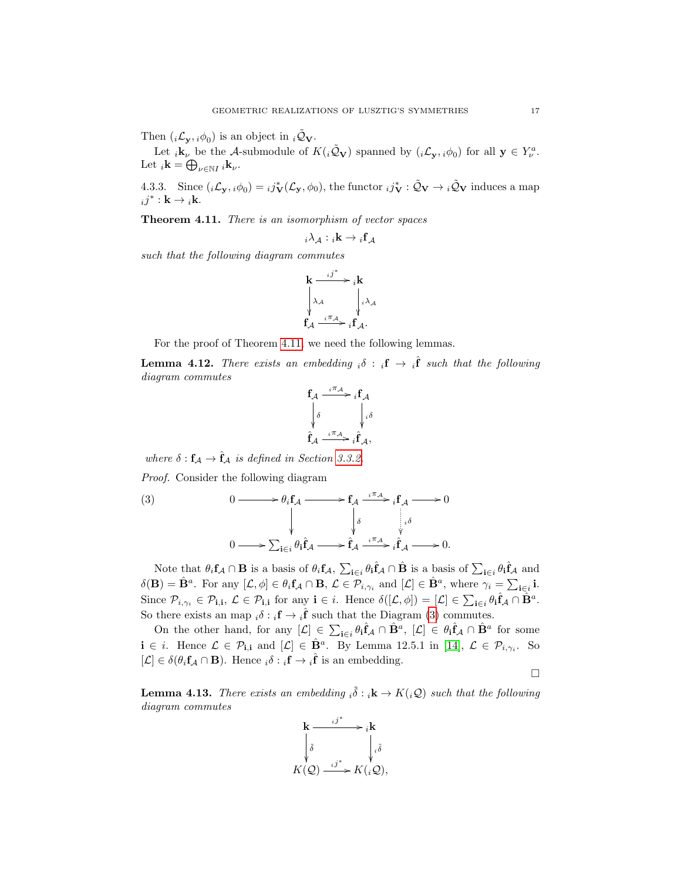Then  $(i\mathcal{L}_{\mathbf{y}}, i\phi_0)$  is an object in  $i\tilde{\mathcal{Q}}_{\mathbf{V}}$ .

Let  $_i\mathbf{k}_\nu$  be the A-submodule of  $K(i\tilde{Q}_V)$  spanned by  $(i\mathcal{L}_y, i\phi_0)$  for all  $y \in Y_\nu^a$ . Let  $_i\mathbf{k} = \bigoplus_{\nu \in \mathbb{N}I} i\mathbf{k}_{\nu}$ .

4.3.3. Since  $(i\mathcal{L}_{\mathbf{y}}, i\phi_0) = i j_{\mathbf{V}}^*(\mathcal{L}_{\mathbf{y}}, \phi_0)$ , the functor  $i j_{\mathbf{V}}^* : \tilde{\mathcal{Q}}_{\mathbf{V}} \to i \tilde{\mathcal{Q}}_{\mathbf{V}}$  induces a map  $ij^*$  :  $\mathbf{k} \to i\mathbf{k}$ .

<span id="page-16-0"></span>Theorem 4.11. There is an isomorphism of vector spaces

$$
_i\lambda_{\mathcal{A}}: {}_i\mathbf{k} \to {}_i\mathbf{f}_{\mathcal{A}}
$$

such that the following diagram commutes

$$
\mathbf{k} \xrightarrow{i j^*} i \mathbf{k} \n\lambda_{\mathcal{A}} \qquad \qquad \downarrow i \lambda_{\mathcal{A}} \n\mathbf{f}_{\mathcal{A}} \xrightarrow{i \pi_{\mathcal{A}}} i \mathbf{f}_{\mathcal{A}}.
$$

For the proof of Theorem [4.11,](#page-16-0) we need the following lemmas.

<span id="page-16-2"></span>**Lemma 4.12.** There exists an embedding  $_i\delta : {}_i\mathbf{f} \to {}_i\hat{\mathbf{f}}$  such that the following diagram commutes

<span id="page-16-1"></span>
$$
\mathbf{f}_{\mathcal{A}} \xrightarrow{i \pi_{\mathcal{A}}} i \mathbf{f}_{\mathcal{A}} \downarrow
$$
\n
$$
\begin{array}{ccc}\n\delta & & \downarrow i \delta \\
\hat{f}_{\mathcal{A}} & & \downarrow i \delta \\
\hat{f}_{\mathcal{A}} & & \downarrow i \hat{f}_{\mathcal{A}},\n\end{array}
$$

where  $\delta: \mathbf{f}_{\mathcal{A}} \to \hat{\mathbf{f}}_{\mathcal{A}}$  is defined in Section [3.3.2.](#page-8-0)

Proof. Consider the following diagram

(3) 
$$
0 \longrightarrow \theta_i \mathbf{f}_\mathcal{A} \longrightarrow \mathbf{f}_\mathcal{A} \xrightarrow{i \pi_\mathcal{A}} i \mathbf{f}_\mathcal{A} \longrightarrow 0
$$

$$
\downarrow \qquad \qquad \downarrow \delta \qquad \qquad \downarrow \delta
$$

$$
0 \longrightarrow \sum_{\mathbf{i} \in i} \theta_i \hat{\mathbf{f}}_\mathcal{A} \longrightarrow \hat{\mathbf{f}}_\mathcal{A} \xrightarrow{i \pi_\mathcal{A}} i \hat{\mathbf{f}}_\mathcal{A} \longrightarrow 0.
$$

Note that  $\theta_i f_A \cap \mathbf{B}$  is a basis of  $\theta_i f_A$ ,  $\sum_{\mathbf{i} \in i} \theta_{\mathbf{i}} \hat{\mathbf{f}}_A \cap \hat{\mathbf{B}}$  is a basis of  $\sum_{\mathbf{i} \in i} \theta_{\mathbf{i}} \hat{\mathbf{f}}_A$  and  $\delta(\mathbf{B}) = \hat{\mathbf{B}}^a$ . For any  $[\mathcal{L}, \phi] \in \theta_i \mathbf{f}_{\mathcal{A}} \cap \mathbf{B}, \ \mathcal{L} \in \mathcal{P}_{i, \gamma_i}$  and  $[\mathcal{L}] \in \hat{\mathbf{B}}^a$ , where  $\gamma_i = \sum_{\mathbf{i} \in i} \mathbf{i}$ . Since  $\mathcal{P}_{i,\gamma_i} \in \mathcal{P}_{i,i}$ ,  $\mathcal{L} \in \mathcal{P}_{i,i}$  for any  $i \in i$ . Hence  $\delta([\mathcal{L}, \phi]) = [\mathcal{L}] \in \sum_{i \in i} \theta_i \hat{f}_{\mathcal{A}} \cap \hat{B}^a$ . So there exists an map  $_i \delta : i \mathbf{f} \to i \hat{\mathbf{f}}$  such that the Diagram [\(3\)](#page-16-1) commutes.

On the other hand, for any  $[\mathcal{L}] \in \sum_{i \in i} \theta_i \hat{f}_\mathcal{A} \cap \hat{B}^a$ ,  $[\mathcal{L}] \in \theta_i \hat{f}_\mathcal{A} \cap \hat{B}^a$  for some  $\mathbf{i} \in i$ . Hence  $\mathcal{L} \in \mathcal{P}_{\mathbf{i},\mathbf{i}}$  and  $[\mathcal{L}] \in \hat{\mathbf{B}}^a$ . By Lemma 12.5.1 in [\[14\]](#page-26-3),  $\mathcal{L} \in \mathcal{P}_{i,\gamma_i}$ . So  $[\mathcal{L}] \in \delta(\theta_i \mathbf{f}_\mathcal{A} \cap \mathbf{B})$ . Hence  $_i \delta : {}_i \mathbf{f} \to {}_i \hat{\mathbf{f}}$  is an embedding.

 $\Box$ 

<span id="page-16-3"></span>**Lemma 4.13.** There exists an embedding  $_i\tilde{\delta}: i\mathbf{k} \to K(i\mathcal{Q})$  such that the following diagram commutes

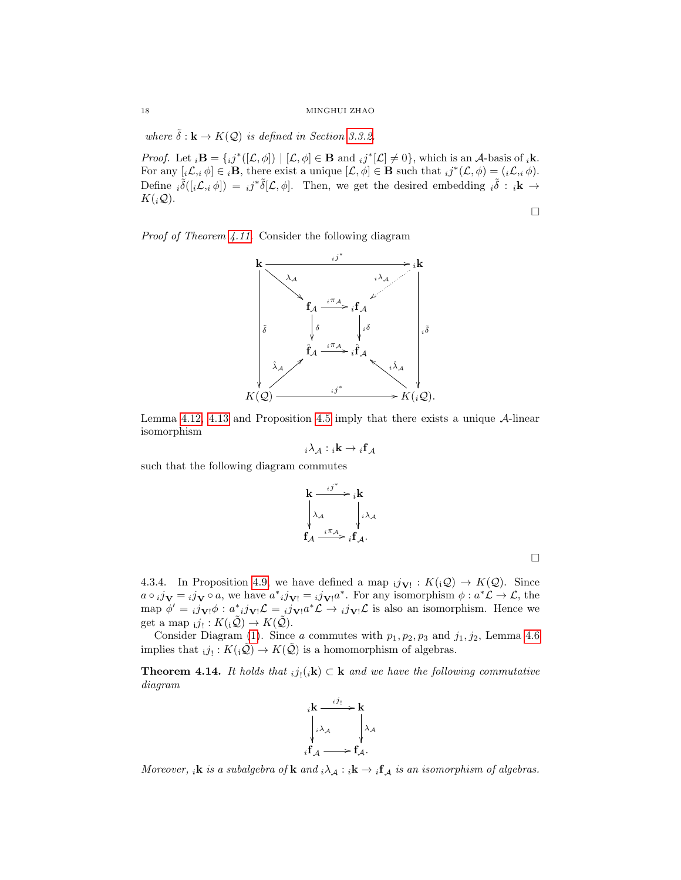where  $\tilde{\delta}: \mathbf{k} \to K(\mathcal{Q})$  is defined in Section [3.3.2.](#page-8-0)

*Proof.* Let  $_i \mathbf{B} = \{ i j^*([\mathcal{L}, \phi]) \mid [\mathcal{L}, \phi] \in \mathbf{B} \text{ and } i j^*[\mathcal{L}] \neq 0 \}$ , which is an A-basis of  $_i \mathbf{k}$ . For any  $[i\mathcal{L}, i\ \phi] \in i\mathbf{B}$ , there exist a unique  $[\mathcal{L}, \phi] \in \mathbf{B}$  such that  $ij^*(\mathcal{L}, \phi) = (i\mathcal{L}, i\ \phi)$ . Define  $\hat{i}(\hat{i}(\hat{i}\mathcal{L},i\phi)) = i\hat{j}^*\tilde{\delta}[\mathcal{L},\phi]$ . Then, we get the desired embedding  $i\tilde{\delta}$ :  $i\mathbf{k} \rightarrow$  $K({}_i\mathcal{Q}).$ 

Proof of Theorem [4.11.](#page-16-0) Consider the following diagram



Lemma [4.12,](#page-16-2) [4.13](#page-16-3) and Proposition [4.5](#page-11-0) imply that there exists a unique  $\mathcal{A}$ -linear isomorphism

$$
_{i}\lambda _{\mathcal{A}}:\mathbf{\ }_{i}\mathbf{k}\rightarrow \ _{i}\mathbf{f}_{\mathcal{A}}
$$

such that the following diagram commutes

$$
\mathbf{k} \xrightarrow{i j^*} i\mathbf{k} \n\lambda_{\mathcal{A}} \qquad \downarrow i \lambda_{\mathcal{A}} \n\mathbf{f}_{\mathcal{A}} \xrightarrow{i \pi_{\mathcal{A}}} i\mathbf{f}_{\mathcal{A}}.
$$

 $\Box$ 

 $\Box$ 

4.3.4. In Proposition [4.9,](#page-14-2) we have defined a map  $i j_{\mathbf{V}!}: K(i\mathcal{Q}) \to K(\mathcal{Q})$ . Since  $a \circ i\mathbf{j}_{\mathbf{V}} = i\mathbf{j}_{\mathbf{V}} \circ a$ , we have  $a^*_{i}j_{\mathbf{V}!} = i\mathbf{j}_{\mathbf{V}!}a^*$ . For any isomorphism  $\phi: a^*\mathcal{L} \to \mathcal{L}$ , the map  $\phi' = i j_{\mathbf{V}!} \phi : a^*_{i} j_{\mathbf{V}!} \mathcal{L} = i j_{\mathbf{V}!} a^* \mathcal{L} \rightarrow i j_{\mathbf{V}!} \mathcal{L}$  is also an isomorphism. Hence we get a map  $_{i}j_{!}:K(_{i}\tilde{Q})\rightarrow K(\tilde{Q}).$ 

Consider Diagram [\(1\)](#page-12-1). Since a commutes with  $p_1, p_2, p_3$  and  $j_1, j_2$ , Lemma [4.6](#page-12-0) implies that  $_{i}j_{!}: K({_{i}\tilde{Q}}) \to K(\tilde{Q})$  is a homomorphism of algebras.

**Theorem 4.14.** It holds that  $_{i}j_{l}(i\mathbf{k}) \subset \mathbf{k}$  and we have the following commutative diagram



Moreover, <sub>i</sub>k is a subalgebra of k and  $_i \lambda_A : i \mathbf{k} \to i \mathbf{f}_A$  is an isomorphism of algebras.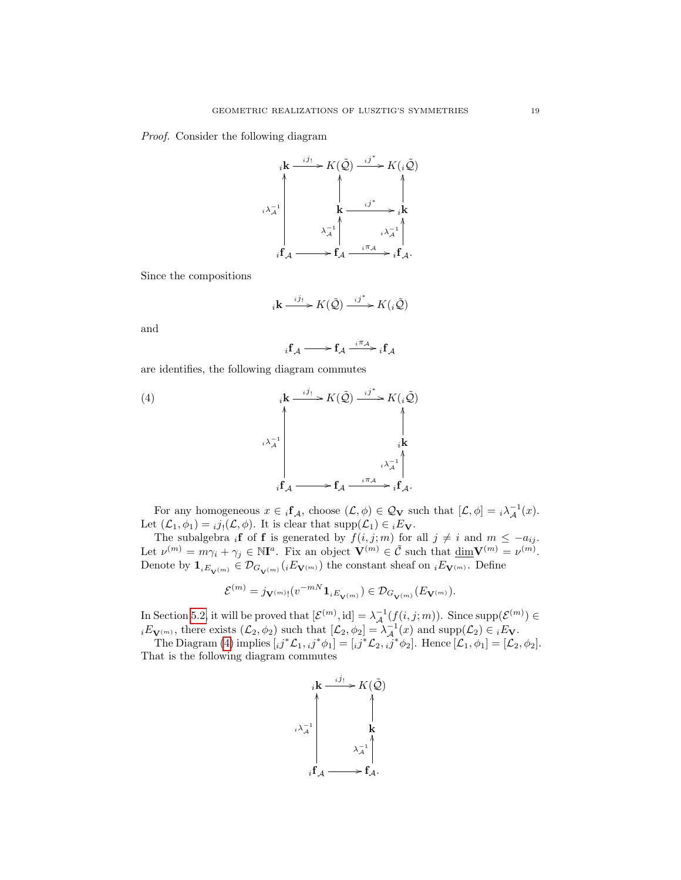Proof. Consider the following diagram

$$
i\mathbf{k} \xrightarrow{i j_!} K(\tilde{Q}) \xrightarrow{i j^*} K(i\tilde{Q})
$$
\n
$$
i\lambda_A^{-1} \qquad \qquad \downarrow \qquad \downarrow \qquad \downarrow
$$
\n
$$
i\lambda_A^{-1} \qquad \qquad \downarrow \qquad \downarrow \downarrow
$$
\n
$$
i\mathbf{f}_A \xrightarrow{i \qquad \qquad \downarrow \downarrow} i\lambda_A^{-1} \qquad \qquad \downarrow \downarrow
$$
\n
$$
i\mathbf{f}_A \xrightarrow{i \qquad \qquad \downarrow \uparrow} i\mathbf{f}_A.
$$

Since the compositions

$$
{}_{i}\mathbf{k} \xrightarrow{i j_{!}} K(\tilde{\mathcal{Q}}) \xrightarrow{i j^{*}} K({}_{i}\tilde{\mathcal{Q}})
$$

and

<span id="page-18-0"></span>
$$
{}_{i}\mathbf{f}_{\mathcal{A}} \longrightarrow \mathbf{f}_{\mathcal{A}} \xrightarrow{i\pi_{\mathcal{A}}} {}_{i}\mathbf{f}_{\mathcal{A}}
$$

are identifies, the following diagram commutes



For any homogeneous  $x \in {}_{i}f_{\mathcal{A}}$ , choose  $(\mathcal{L}, \phi) \in \mathcal{Q}_{\mathbf{V}}$  such that  $[\mathcal{L}, \phi] = {}_{i} \lambda_{\mathcal{A}}^{-1}(x)$ . Let  $(\mathcal{L}_1, \phi_1) = i j_! (\mathcal{L}, \phi)$ . It is clear that  $\text{supp}(\mathcal{L}_1) \in {}_iE_{\mathbf{V}}$ .

The subalgebra if of f is generated by  $f(i, j; m)$  for all  $j \neq i$  and  $m \leq -a_{ij}$ . Let  $\nu^{(m)} = m\gamma_i + \gamma_j \in \mathbb{N}I^a$ . Fix an object  $\mathbf{V}^{(m)} \in \tilde{\mathcal{C}}$  such that  $\underline{\dim} \mathbf{V}^{(m)} = \nu^{(m)}$ . Denote by  $\mathbf{1}_{iE_{\mathbf{V}^{(m)}}}\in\mathcal{D}_{G_{\mathbf{V}^{(m)}}}(iE_{\mathbf{V}^{(m)}})$  the constant sheaf on  $_iE_{\mathbf{V}^{(m)}}$ . Define

$$
\mathcal{E}^{(m)} = j_{\mathbf{V}^{(m)}!}(v^{-mN}\mathbf{1}_{iE_{\mathbf{V}^{(m)}}}) \in \mathcal{D}_{G_{\mathbf{V}^{(m)}}}(E_{\mathbf{V}^{(m)}}).
$$

In Section [5.2,](#page-24-0) it will be proved that  $[\mathcal{E}^{(m)}, id] = \lambda^{-1} (f(i,j;m))$ . Since  $\text{supp}(\mathcal{E}^{(m)}) \in$  $iE_{\mathbf{V}^{(m)}}$ , there exists  $(\mathcal{L}_2, \phi_2)$  such that  $[\mathcal{L}_2, \phi_2] = \lambda^{-1}_{\mathcal{A}}(x)$  and  $\text{supp}(\mathcal{L}_2) \in iE_{\mathbf{V}}$ .

The Diagram [\(4\)](#page-18-0) implies  $[i j^* \mathcal{L}_{1}, i j^* \phi_1] = [i j^* \mathcal{L}_{2}, i j^* \phi_2]$ . Hence  $[\mathcal{L}_{1}, \phi_1] = [\mathcal{L}_{2}, \phi_2]$ . That is the following diagram commutes

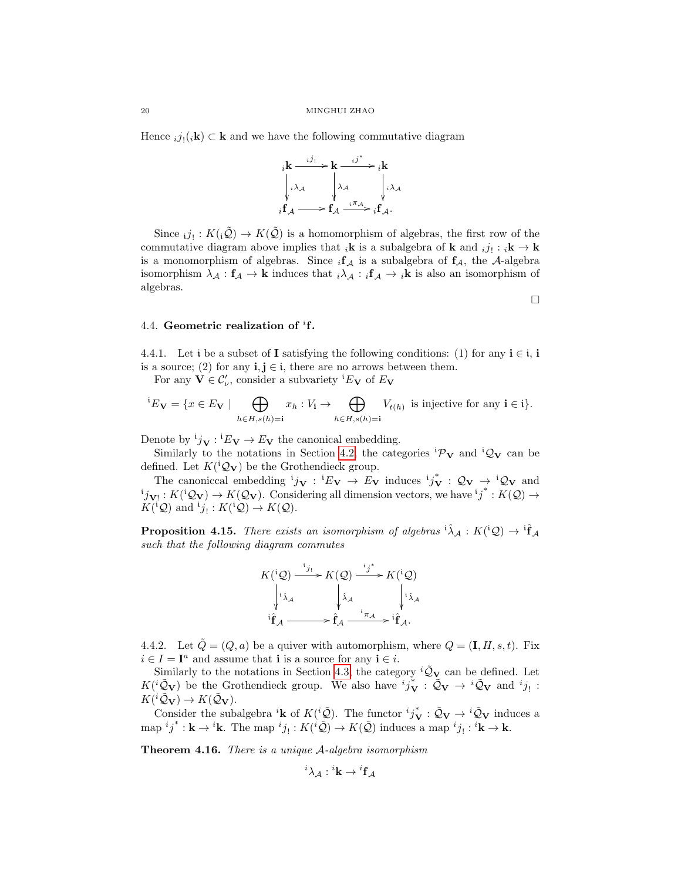Hence  $_{i}j_{l}(i\mathbf{k}) \subset \mathbf{k}$  and we have the following commutative diagram



Since  $_{i}j_{!}: K({_{i}\tilde{Q}}) \to K(\tilde{Q})$  is a homomorphism of algebras, the first row of the commutative diagram above implies that  ${}_{i}$ **k** is a subalgebra of **k** and  ${}_{i}j_{!}: {}_{i}$ **k**  $\rightarrow$  **k** is a monomorphism of algebras. Since  ${}_{i}f_{\mathcal{A}}$  is a subalgebra of  $f_{\mathcal{A}}$ , the A-algebra isomorphism  $\lambda_{\mathcal{A}} : f_{\mathcal{A}} \to \mathbf{k}$  induces that  $i\lambda_{\mathcal{A}} : i\mathbf{f}_{\mathcal{A}} \to i\mathbf{k}$  is also an isomorphism of algebras.

## <span id="page-19-0"></span>4.4. Geometric realization of  ${}^{i}$ f.

4.4.1. Let i be a subset of I satisfying the following conditions: (1) for any  $i \in i$ , i is a source; (2) for any  $\mathbf{i}, \mathbf{j} \in \mathbf{i}$ , there are no arrows between them.

For any  $\mathbf{V} \in \mathcal{C}'_{\nu}$ , consider a subvariety <sup>i</sup> $E_{\mathbf{V}}$  of  $E_{\mathbf{V}}$ 

$$
{}^{i}E_{\mathbf{V}} = \{x \in E_{\mathbf{V}} \mid \bigoplus_{h \in H, s(h) = i} x_h : V_{\mathbf{i}} \to \bigoplus_{h \in H, s(h) = i} V_{t(h)} \text{ is injective for any } \mathbf{i} \in \mathbf{i}\}.
$$

Denote by  ${}^{i}j_{V}: {}^{i}E_{V} \rightarrow E_{V}$  the canonical embedding.

Similarly to the notations in Section [4.2,](#page-10-0) the categories  ${}^{i}\mathcal{P}_{V}$  and  ${}^{i}\mathcal{Q}_{V}$  can be defined. Let  $K({}^{i}Q_{V})$  be the Grothendieck group.

The canoniccal embedding  ${}^{i}j_{V}$  :  ${}^{i}E_{V} \rightarrow E_{V}$  induces  ${}^{i}j_{V}^{*}$  :  $\mathcal{Q}_{V} \rightarrow {}^{i}\mathcal{Q}_{V}$  and  $j_{V!}: K({^1Q}_V) \to K(Q_V)$ . Considering all dimension vectors, we have  ${^i j}^*: K(Q) \to$  $K({}^{i}Q)$  and  ${}^{i}j_! : K({}^{i}Q) \to K(Q)$ .

**Proposition 4.15.** There exists an isomorphism of algebras  ${}^{i\hat{\lambda}}A : K({}^{i}Q) \rightarrow {}^{i\hat{f}}A$ such that the following diagram commutes



4.4.2. Let  $\tilde{Q} = (Q, a)$  be a quiver with automorphism, where  $Q = (\mathbf{I}, H, s, t)$ . Fix  $i \in I = I^a$  and assume that **i** is a source for any  $i \in i$ .

Similarly to the notations in Section [4.3,](#page-14-0) the category  ${}^{i}\tilde{Q}_{V}$  can be defined. Let  $K({}^{i}\tilde{Q}_{\mathbf{V}})$  be the Grothendieck group. We also have  ${}^{i}j_{\mathbf{V}}^{*}$ :  $\tilde{Q}_{\mathbf{V}} \to {}^{i}\tilde{Q}_{\mathbf{V}}$  and  ${}^{i}j_{!}$ :  $K({}^{i}\tilde{Q}_{\mathbf{V}}) \to K(\tilde{Q}_{\mathbf{V}}).$ 

Consider the subalgebra <sup>i</sup>**k** of  $K({}^{i}\tilde{\mathcal{Q}})$ . The functor  ${}^{i}j_{\mathbf{V}}^{*}:\tilde{\mathcal{Q}}_{\mathbf{V}} \to {}^{i}\tilde{\mathcal{Q}}_{\mathbf{V}}$  induces a  $\text{map } ij^* : \mathbf{k} \to i\mathbf{k}.$  The map  $^{i}j_! : K(i\tilde{Q}) \to K(\tilde{Q})$  induces a map  $^{i}j_! : {^{i}k} \to \mathbf{k}.$ 

Theorem 4.16. There is a unique A-algebra isomorphism

$$
^i\lambda_{\cal A}:{^i{\bf k}}\rightarrow {^i{\bf f}_{\cal A}}
$$

 $\Box$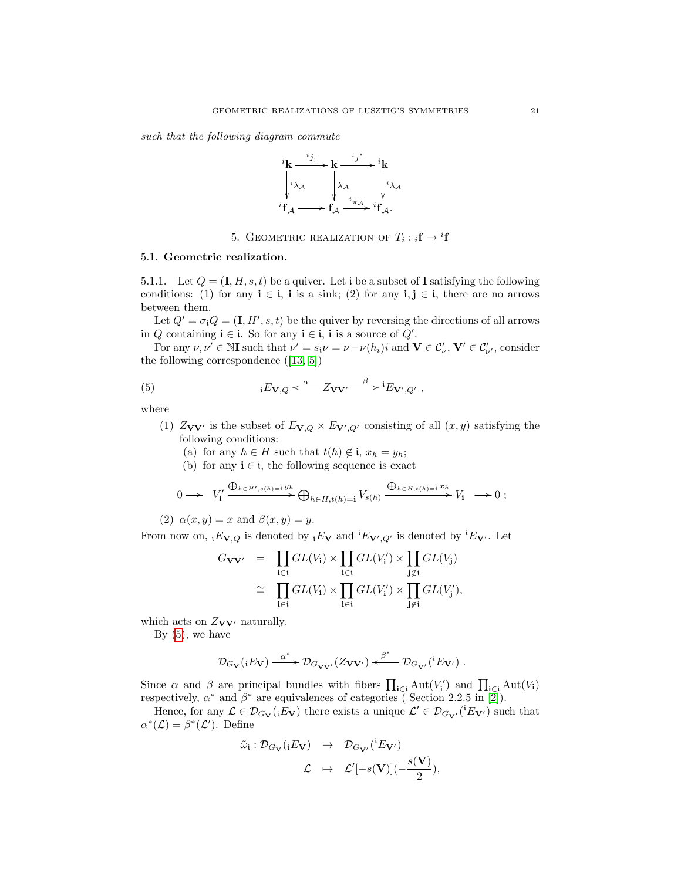such that the following diagram commute



<span id="page-20-2"></span>5. GEOMETRIC REALIZATION OF  $T_i : {}_i\mathbf{f} \to {}^i\mathbf{f}$ 

## <span id="page-20-1"></span><span id="page-20-0"></span>5.1. Geometric realization.

5.1.1. Let  $Q = (\mathbf{I}, H, s, t)$  be a quiver. Let i be a subset of I satisfying the following conditions: (1) for any  $\mathbf{i} \in \mathbf{i}$ , i is a sink; (2) for any  $\mathbf{i}, \mathbf{j} \in \mathbf{i}$ , there are no arrows between them.

Let  $Q' = \sigma_i Q = (\mathbf{I}, H', s, t)$  be the quiver by reversing the directions of all arrows in Q containing  $\mathbf{i} \in \mathbf{i}$ . So for any  $\mathbf{i} \in \mathbf{i}$ , i is a source of  $Q'$ .

For any  $\nu, \nu' \in \mathbb{N}$ I such that  $\nu' = s_i \nu = \nu - \nu(h_i)i$  and  $\mathbf{V} \in \mathcal{C}'_{\nu}$ ,  $\mathbf{V}' \in \mathcal{C}'_{\nu'}$ , consider the following correspondence ([\[13,](#page-26-11) [5\]](#page-26-17))

(5) 
$$
{}_{i}E_{\mathbf{V},Q} \leftarrow \alpha Z_{\mathbf{V}\mathbf{V}'} \xrightarrow{\beta} {}^{i}E_{\mathbf{V}',Q'} ,
$$

where

- (1)  $Z_{\mathbf{V}\mathbf{V}'}$  is the subset of  $E_{\mathbf{V},Q} \times E_{\mathbf{V}',Q'}$  consisting of all  $(x,y)$  satisfying the following conditions:
	- (a) for any  $h \in H$  such that  $t(h) \notin \mathfrak{i}$ ,  $x_h = y_h$ ;
	- (b) for any  $\mathbf{i} \in \mathbf{i}$ , the following sequence is exact

$$
0 \longrightarrow V_{\mathbf{i}}' \xrightarrow{\bigoplus_{h \in H', s(h) = \mathbf{i}} y_h} \bigoplus_{h \in H, t(h) = \mathbf{i}} V_{s(h)} \xrightarrow{\bigoplus_{h \in H, t(h) = \mathbf{i}} x_h} V_{\mathbf{i}} \longrightarrow 0 ;
$$

(2)  $\alpha(x, y) = x$  and  $\beta(x, y) = y$ .

From now on,  ${}_iF_{\mathbf{V},Q}$  is denoted by  ${}_iF_{\mathbf{V}}$  and  ${}^iF_{\mathbf{V}',Q'}$  is denoted by  ${}^iF_{\mathbf{V}'}$ . Let

$$
G_{\mathbf{V}\mathbf{V}'} = \prod_{i \in i} GL(V_i) \times \prod_{i \in i} GL(V'_i) \times \prod_{j \notin i} GL(V_j)
$$
  
\n
$$
\cong \prod_{i \in i} GL(V_i) \times \prod_{i \in i} GL(V'_i) \times \prod_{j \notin i} GL(V'_j),
$$

which acts on  $Z_{\mathbf{V}\mathbf{V}'}$  naturally.

By  $(5)$ , we have

$$
\mathcal{D}_{G_{\mathbf{V}}}(iE_{\mathbf{V}}) \xrightarrow{\alpha^*} \mathcal{D}_{G_{\mathbf{V}\mathbf{V}'}}(Z_{\mathbf{V}\mathbf{V}'}) \xleftarrow{\beta^*} \mathcal{D}_{G_{\mathbf{V}'}}(iE_{\mathbf{V}'}) .
$$

Since  $\alpha$  and  $\beta$  are principal bundles with fibers  $\prod_{i\in i} Aut(V_i')$  and  $\prod_{i\in i} Aut(V_i)$ respectively,  $\alpha^*$  and  $\beta^*$  are equivalences of categories (Section 2.2.5 in [\[2\]](#page-26-5)).

Hence, for any  $\mathcal{L} \in \mathcal{D}_{G_V}(iE_V)$  there exists a unique  $\mathcal{L}' \in \mathcal{D}_{G_{V'}}(iE_{V'})$  such that  $\alpha^*(\mathcal{L}) = \beta^*(\mathcal{L}')$ . Define

$$
\tilde{\omega}_{\mathfrak{i}}: \mathcal{D}_{G_{\mathbf{V}}}({}_{\mathfrak{i}} E_{\mathbf{V}}) \rightarrow \mathcal{D}_{G_{\mathbf{V}'}}({}^{\mathfrak{i}} E_{\mathbf{V}'})
$$

$$
\mathcal{L} \rightarrow \mathcal{L}'[-s(\mathbf{V})](-\frac{s(\mathbf{V})}{2}),
$$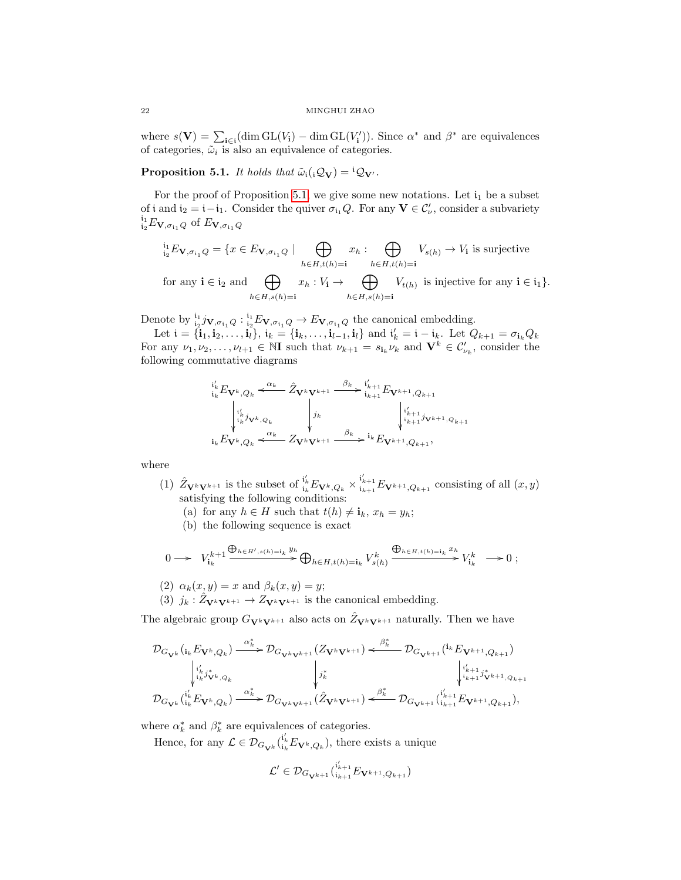where  $s(\mathbf{V}) = \sum_{i \in i} (\dim GL(V_i) - \dim GL(V'_i))$ . Since  $\alpha^*$  and  $\beta^*$  are equivalences of categories,  $\tilde{\omega}_i$  is also an equivalence of categories.

<span id="page-21-0"></span>**Proposition 5.1.** It holds that  $\tilde{\omega}_i(i\mathcal{Q}_V) = {}^i\mathcal{Q}_{V'}$ .

For the proof of Proposition [5.1,](#page-21-0) we give some new notations. Let  $i_1$  be a subset of i and  $i_2 = i - i_1$ . Consider the quiver  $\sigma_{i_1} Q$ . For any  $V \in C'_{\nu}$ , consider a subvariety  $i_1 \overline{i_1} E_{\mathbf{V}, \sigma_{i_1} Q}$  of  $E_{\mathbf{V}, \sigma_{i_1} Q}$ 

$$
\iota_2^i E_{\mathbf{V}, \sigma_{i_1} Q} = \{ x \in E_{\mathbf{V}, \sigma_{i_1} Q} \mid \bigoplus_{h \in H, t(h) = \mathbf{i}} x_h : \bigoplus_{h \in H, t(h) = \mathbf{i}} V_{s(h)} \to V_{\mathbf{i}} \text{ is surjective}
$$
\n
$$
\text{for any } \mathbf{i} \in \mathbf{i}_2 \text{ and } \bigoplus_{h \in H, s(h) = \mathbf{i}} x_h : V_{\mathbf{i}} \to \bigoplus_{h \in H, s(h) = \mathbf{i}} V_{t(h)} \text{ is injective for any } \mathbf{i} \in \mathbf{i}_1 \}.
$$

Denote by  ${}_{i_2}^{i_1} j_{\mathbf{V}, \sigma_{i_1} Q} : {}_{i_2}^{i_1} E_{\mathbf{V}, \sigma_{i_1} Q} \to E_{\mathbf{V}, \sigma_{i_1} Q}$  the canonical embedding.

Let  $\mathbf{i} = {\mathbf{i}_1, \mathbf{i}_2, \dots, \mathbf{i}_l}$ ,  $\mathbf{i}_k = {\mathbf{i}_k, \dots, \mathbf{i}_{l-1}, \mathbf{i}_l}$  and  $\mathbf{i}'_k = \mathbf{i} - \mathbf{i}_k$ . Let  $Q_{k+1} = \sigma_{\mathbf{i}_k} Q_k$ For any  $\nu_1, \nu_2, \ldots, \nu_{l+1} \in \mathbb{N}$ I such that  $\nu_{k+1} = s_{i_k} \nu_k$  and  $\mathbf{V}^k \in C'_{\nu_k}$ , consider the following commutative diagrams

$$
\begin{array}{ccc}\n\mathbf{i}'_{k} E_{\mathbf{V}^{k}, Q_{k}} < \frac{\alpha_{k}}{2} \hat{Z}_{\mathbf{V}^{k} \mathbf{V}^{k+1}} & \xrightarrow{\beta_{k}} \mathbf{i}'_{k+1} E_{\mathbf{V}^{k+1}, Q_{k+1}} \\
\downarrow \mathbf{i}'_{k} \mathbf{j}_{\mathbf{V}^{k}, Q_{k}} & \downarrow \mathbf{j}_{k} & \downarrow \mathbf{i}'_{k+1} \mathbf{j}_{\mathbf{V}^{k+1}, Q_{k+1}} \\
\mathbf{i}_{k} E_{\mathbf{V}^{k}, Q_{k}} < \frac{\alpha_{k}}{2} Z_{\mathbf{V}^{k} \mathbf{V}^{k+1}} & \xrightarrow{\beta_{k}} \mathbf{i}_{k} E_{\mathbf{V}^{k+1}, Q_{k+1}},\n\end{array}
$$

where

- (1)  $\hat{Z}_{\mathbf{V}^k \mathbf{V}^{k+1}}$  is the subset of  $\mathfrak{i}'_k E_{\mathbf{V}^k, Q_k} \times \mathfrak{i}'_{k+1} E_{\mathbf{V}^{k+1}, Q_{k+1}}$  consisting of all  $(x, y)$ satisfying the following conditions:
	- (a) for any  $h \in H$  such that  $t(h) \neq \mathbf{i}_k$ ,  $x_h = y_h$ ;
	- (b) the following sequence is exact

$$
0 \longrightarrow V_{\mathbf{i}_k}^{k+1} \xrightarrow{\bigoplus_{h \in H', s(h) = \mathbf{i}_k} y_h} \bigoplus_{h \in H, t(h) = \mathbf{i}_k} V_{s(h)}^k \xrightarrow{\bigoplus_{h \in H, t(h) = \mathbf{i}_k} x_h} V_{\mathbf{i}_k}^k \longrightarrow 0 ;
$$

(2)  $\alpha_k(x, y) = x$  and  $\beta_k(x, y) = y$ ;

(3)  $j_k : \hat{Z}_{\mathbf{V}^k \mathbf{V}^{k+1}} \to Z_{\mathbf{V}^k \mathbf{V}^{k+1}}$  is the canonical embedding.

The algebraic group  $G_{\mathbf{V}^k\mathbf{V}^{k+1}}$  also acts on  $\hat{Z}_{\mathbf{V}^k\mathbf{V}^{k+1}}$  naturally. Then we have

$$
\mathcal{D}_{G_{\mathbf{V}^{k}}}\left(i_{k}E_{\mathbf{V}^{k},Q_{k}}\right) \xrightarrow{\alpha_{k}^{*}} \mathcal{D}_{G_{\mathbf{V}^{k}\mathbf{V}^{k+1}}}\left(Z_{\mathbf{V}^{k}\mathbf{V}^{k+1}}\right) \xleftarrow{\beta_{k}^{*}} \mathcal{D}_{G_{\mathbf{V}^{k+1}}}\left(i_{k}E_{\mathbf{V}^{k+1},Q_{k+1}}\right) \\
\downarrow^{i'_{k}}_{i_{k}j_{\mathbf{V}^{k},Q_{k}}}\n\downarrow^{j'_{k}}_{j'_{k}j_{\mathbf{V}^{k},Q_{k}}}\n\downarrow^{j'_{k}}_{j'_{k+1}j_{\mathbf{V}^{k+1},Q_{k+1}}}\n\downarrow^{j'_{k+1}}_{j'_{k+1}j_{\mathbf{V}^{k+1},Q_{k+1}}}
$$
\n
$$
\mathcal{D}_{G_{\mathbf{V}^{k}}}\left(i_{k}^{i'_{k}}E_{\mathbf{V}^{k},Q_{k}}\right) \xrightarrow{\alpha_{k}^{*}} \mathcal{D}_{G_{\mathbf{V}^{k}\mathbf{V}^{k+1}}}\left(\hat{Z}_{\mathbf{V}^{k}\mathbf{V}^{k+1}}\right) \xleftarrow{\beta_{k}^{*}} \mathcal{D}_{G_{\mathbf{V}^{k+1}}}\left(i_{k+1}^{i'_{k+1}}E_{\mathbf{V}^{k+1},Q_{k+1}}\right),
$$

where  $\alpha_k^*$  and  $\beta_k^*$  are equivalences of categories.

Hence, for any  $\mathcal{L} \in \mathcal{D}_{G_{\mathbf{V}^k}}({}_{i_k}^{i'_k} E_{\mathbf{V}^k, Q_k})$ , there exists a unique

$$
\mathcal{L}'\in\mathcal{D}_{G_{\mathbf{V}^{k+1}}}(i_{k+1}^{i_{k+1}'}E_{\mathbf{V}^{k+1},Q_{k+1}})
$$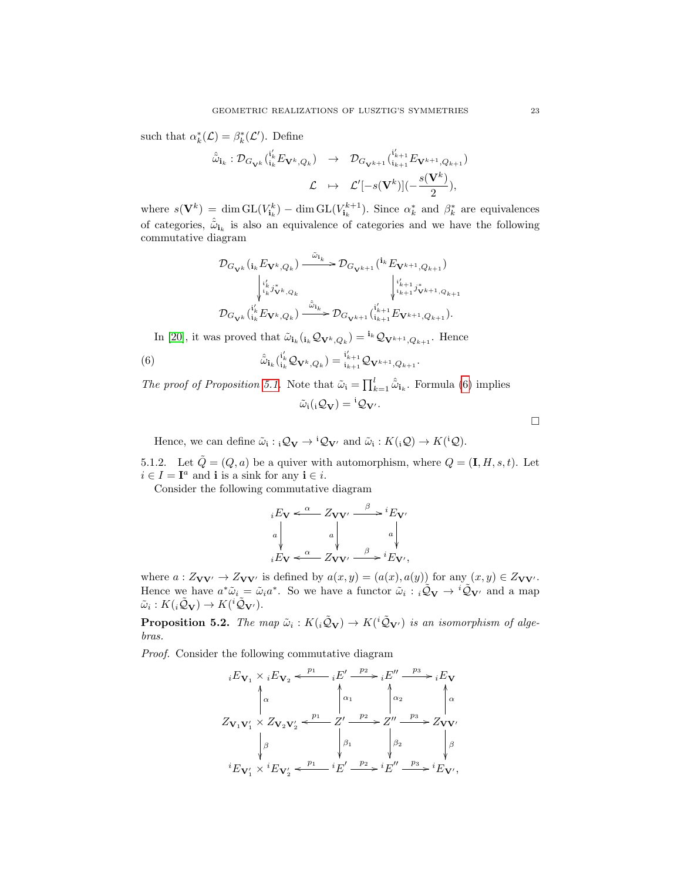such that  $\alpha_k^*(\mathcal{L}) = \beta_k^*(\mathcal{L}')$ . Define

$$
\hat{\tilde{\omega}}_{\mathbf{i}_k}: \mathcal{D}_{G_{\mathbf{V}^k}}({}_{\mathbf{i}_k}^{i'_k} E_{\mathbf{V}^k, Q_k}) \rightarrow \mathcal{D}_{G_{\mathbf{V}^{k+1}}}({}_{\mathbf{i}_{k+1}}^{i'_{k+1}} E_{\mathbf{V}^{k+1}, Q_{k+1}})
$$

$$
\mathcal{L} \rightarrow \mathcal{L}'[-s(\mathbf{V}^k)](-\frac{s(\mathbf{V}^k)}{2}),
$$

where  $s(\mathbf{V}^k) = \dim \mathrm{GL}(V^k_{\mathbf{i}_k}) - \dim \mathrm{GL}(V^{k+1}_{\mathbf{i}_k})$ . Since  $\alpha^*_k$  and  $\beta^*_k$  are equivalences of categories,  $\hat{\tilde{\omega}}_{i_k}$  is also an equivalence of categories and we have the following commutative diagram

$$
\mathcal{D}_{G_{\mathbf{V}^{k}}}\left( _{i_{k}}E_{\mathbf{V}^{k},Q_{k}}\right) \xrightarrow{\tilde{\omega}_{i_{k}}}\mathcal{D}_{G_{\mathbf{V}^{k+1}}}\left( ^{i_{k}}E_{\mathbf{V}^{k+1},Q_{k+1}}\right) \\ \downarrow^{\iota'_{k}}_{i_{k}}j_{\mathbf{V}^{k},Q_{k}}\qquad \qquad \downarrow^{\iota'_{k+1}}_{i_{k+1}}j_{\mathbf{V}^{k+1},Q_{k+1}}\\ \mathcal{D}_{G_{\mathbf{V}^{k}}}\left( ^{\iota'_{k}}_{i_{k}}E_{\mathbf{V}^{k},Q_{k}}\right) \xrightarrow{\tilde{\omega}_{i_{k}}}\mathcal{D}_{G_{\mathbf{V}^{k+1}}}\left( ^{\iota'_{k+1}}_{i_{k+1}}E_{\mathbf{V}^{k+1},Q_{k+1}}\right) .
$$

In [\[20\]](#page-26-16), it was proved that  $\tilde{\omega}_{i_k}(i_k \mathcal{Q}_{V^k, Q_k}) = i_k \mathcal{Q}_{V^{k+1}, Q_{k+1}}$ . Hence

(6) 
$$
\hat{\tilde{\omega}}_{\mathbf{i}_k} ({}_{\mathbf{i}_k}^{i'_k} \mathcal{Q}_{\mathbf{V}^k, Q_k}) = {}_{\mathbf{i}_{k+1}}^{i'_{k+1}} \mathcal{Q}_{\mathbf{V}^{k+1}, Q_{k+1}}.
$$

The proof of Proposition [5.1.](#page-21-0) Note that  $\tilde{\omega}_i = \prod_{k=1}^l \hat{\tilde{\omega}}_{i_k}$ . Formula [\(6\)](#page-22-0) implies  $\tilde{\omega}_i({}_i\mathcal{Q}_{\mathbf{V}}) = {}^i\mathcal{Q}_{\mathbf{V}'}$ .

Hence, we can define  $\tilde{\omega}_i : {}_i\mathcal{Q}_V \to {}^i\mathcal{Q}_{V'}$  and  $\tilde{\omega}_i : K({}_i\mathcal{Q}) \to K({}^i\mathcal{Q}).$ 

5.1.2. Let  $\tilde{Q} = (Q, a)$  be a quiver with automorphism, where  $Q = (\mathbf{I}, H, s, t)$ . Let  $i \in I = \mathbf{I}^a$  and **i** is a sink for any  $\mathbf{i} \in i$ .

Consider the following commutative diagram

$$
iE_V \xleftarrow{\alpha} Z_{VV'} \xrightarrow{\beta} iE_{V'}
$$
  
\na  
\n
$$
iE_V \xleftarrow{\alpha} Z_{VV'} \xrightarrow{\beta} iE_{V'},
$$

where  $a: Z_{VV'} \to Z_{VV'}$  is defined by  $a(x, y) = (a(x), a(y))$  for any  $(x, y) \in Z_{VV'}$ . Hence we have  $a^*\tilde{\omega}_i = \tilde{\omega}_i a^*$ . So we have a functor  $\tilde{\omega}_i : i\tilde{\mathcal{Q}}_V \to {}^i\tilde{\mathcal{Q}}_{V'}$  and a map  $\tilde{\omega}_i: K({}_i\tilde{\mathcal{Q}}_V) \to K({}^i\tilde{\mathcal{Q}}_{V'}).$ 

**Proposition 5.2.** The map  $\tilde{\omega}_i : K(i\tilde{Q}_V) \to K(i\tilde{Q}_{V'})$  is an isomorphism of algebras.

Proof. Consider the following commutative diagram

$$
{}_{i}E_{\mathbf{V}_{1}} \times {}_{i}E_{\mathbf{V}_{2}} \xleftarrow{p_{1}} {}_{i}E' \xrightarrow{p_{2}} {}_{i}E'' \xrightarrow{p_{3}} {}_{i}E_{\mathbf{V}} \n\downarrow \alpha
$$
\n
$$
Z_{\mathbf{V}_{1}\mathbf{V}'_{1}} \times Z_{\mathbf{V}_{2}\mathbf{V}'_{2}} \xleftarrow{p_{1}} {}_{i}E' \xrightarrow{p_{2}} {}_{i}E'' \xrightarrow{p_{3}} Z_{\mathbf{V}\mathbf{V}'} \n\downarrow \beta
$$
\n
$$
{}_{i}E_{\mathbf{V}'_{1}} \times {}^{i}E_{\mathbf{V}'_{2}} \xleftarrow{p_{1}} {}_{i}E' \xrightarrow{p_{2}} {}^{i}E'' \xrightarrow{p_{3}} {}^{i}E_{\mathbf{V}'},
$$

<span id="page-22-0"></span> $\Box$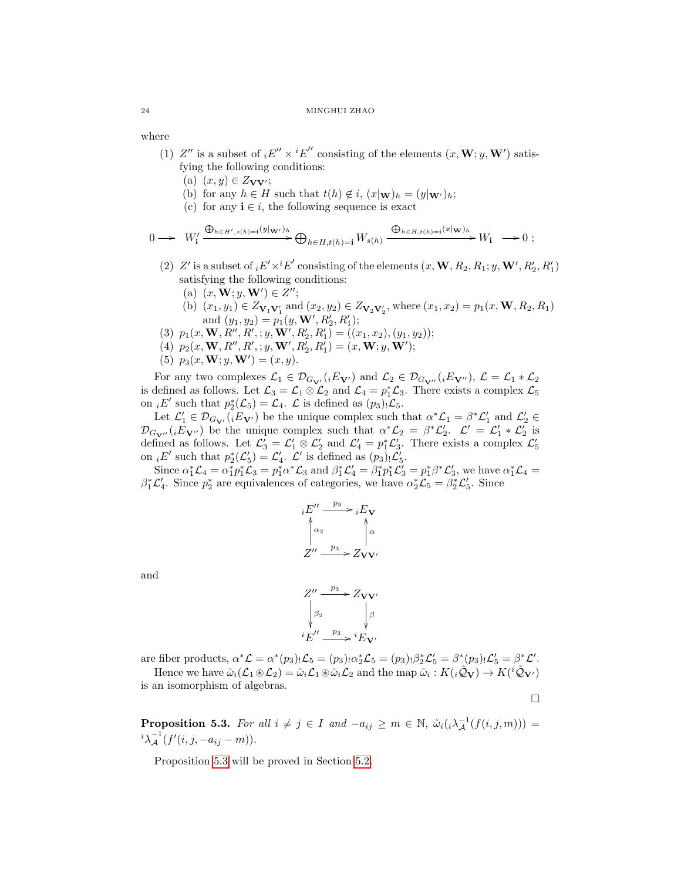where

- (1) Z'' is a subset of  $_iE'' \times iE''$  consisting of the elements  $(x, \mathbf{W}; y, \mathbf{W}')$  satisfying the following conditions:
	- (a)  $(x, y) \in Z_{\mathbf{V}\mathbf{V}'};$
	- (b) for any  $h \in H$  such that  $t(h) \notin i$ ,  $(x|\mathbf{w})_h = (y|\mathbf{w})_h$ ;
	- (c) for any  $\mathbf{i} \in i$ , the following sequence is exact

$$
0 \longrightarrow W'_{\mathbf{i}} \xrightarrow{\bigoplus_{h \in H', s(h) = \mathbf{i}} (y|_{\mathbf{W'}})_h} \bigoplus_{h \in H, t(h) = \mathbf{i}} W_{s(h)} \xrightarrow{\bigoplus_{h \in H, t(h) = \mathbf{i}} (x|_{\mathbf{W}})_h} W_{\mathbf{i}} \longrightarrow 0 ;
$$

- (2)  $Z'$  is a subset of  $_i E' \times^i E'$  consisting of the elements  $(x, \mathbf{W}, R_2, R_1; y, \mathbf{W}', R'_2, R'_1)$ satisfying the following conditions:
	- (a)  $(x, W; y, W') \in Z'';$
	- (b)  $(x_1, y_1) \in Z_{V_1 V_1'}$  and  $(x_2, y_2) \in Z_{V_2 V_2'}$ , where  $(x_1, x_2) = p_1(x, \mathbf{W}, R_2, R_1)$ and  $(y_1, y_2) = p_1(y, \mathbf{W}', R'_2, R'_1);$
- (3)  $p_1(x, \mathbf{W}, R'', R'; y, \mathbf{W}', R'_2, R'_1) = ((x_1, x_2), (y_1, y_2));$
- (4)  $p_2(x, \mathbf{W}, R'', R'; y, \mathbf{W}', R'_2, R'_1) = (x, \mathbf{W}; y, \mathbf{W}');$
- (5)  $p_3(x, \mathbf{W}; y, \mathbf{W}') = (x, y).$

For any two complexes  $\mathcal{L}_1 \in \mathcal{D}_{G_{\mathbf{V}'}}(iE_{\mathbf{V}'})$  and  $\mathcal{L}_2 \in \mathcal{D}_{G_{\mathbf{V}''}}(iE_{\mathbf{V}''}), \mathcal{L} = \mathcal{L}_1 * \mathcal{L}_2$ is defined as follows. Let  $\mathcal{L}_3 = \mathcal{L}_1 \otimes \mathcal{L}_2$  and  $\mathcal{L}_4 = p_1^*\mathcal{L}_3$ . There exists a complex  $\mathcal{L}_5$ on  $_iE'$  such that  $p_2^*(\mathcal{L}_5) = \mathcal{L}_4$ .  $\mathcal L$  is defined as  $(p_3)_! \mathcal{L}_5$ .

Let  $\mathcal{L}'_1 \in \mathcal{D}_{G_{\mathbf{V}'}}({}_i E_{\mathbf{V}'})$  be the unique complex such that  $\alpha^* \mathcal{L}_1 = \beta^* \mathcal{L}'_1$  and  $\mathcal{L}'_2 \in$  $\mathcal{D}_{G_{\mathbf{V}''}}(iE_{\mathbf{V}''})$  be the unique complex such that  $\alpha^*\mathcal{L}_2 = \beta^*\mathcal{L}'_2$ .  $\mathcal{L}' = \mathcal{L}'_1 * \mathcal{L}'_2$  is defined as follows. Let  $\mathcal{L}'_3 = \mathcal{L}'_1 \otimes \mathcal{L}'_2$  and  $\mathcal{L}'_4 = p_1^* \mathcal{L}'_3$ . There exists a complex  $\mathcal{L}'_5$  on  ${}_i E'$  such that  $p_2^*(\mathcal{L}'_5) = \mathcal{L}'_4$ .  $\mathcal{L}'$  is defined as  $(p_3)_! \mathcal{L}'_5$ .

Since  $\alpha_1^* \mathcal{L}_4 = \alpha_1^* p_1^* \mathcal{L}_3 = p_1^* \alpha^* \mathcal{L}_3$  and  $\beta_1^* \mathcal{L}_4' = \beta_1^* p_1^* \mathcal{L}_3' = p_1^* \beta^* \mathcal{L}_3'$ , we have  $\alpha_1^* \mathcal{L}_4 =$  $\beta_1^* \mathcal{L}_4'$ . Since  $p_2^*$  are equivalences of categories, we have  $\alpha_2^* \mathcal{L}_5 = \beta_2^* \mathcal{L}_5'$ . Since



and



are fiber products,  $\alpha^* \mathcal{L} = \alpha^*(p_3) \cdot \mathcal{L}_5 = (p_3) \cdot \alpha^*_2 \mathcal{L}_5 = (p_3) \cdot \beta^*_2 \mathcal{L}'_5 = \beta^*(p_3) \cdot \mathcal{L}'_5 = \beta^* \mathcal{L}'.$ Hence we have  $\tilde{\omega}_i(\mathcal{L}_1 \otimes \mathcal{L}_2) = \tilde{\omega}_i \mathcal{L}_1 \otimes \tilde{\omega}_i \mathcal{L}_2$  and the map  $\tilde{\omega}_i : K(i\tilde{\mathcal{Q}}_V) \to K(i\tilde{\mathcal{Q}}_V)$ 

is an isomorphism of algebras.

 $\Box$ 

<span id="page-23-0"></span>**Proposition 5.3.** For all  $i \neq j \in I$  and  $-a_{ij} \geq m \in \mathbb{N}$ ,  $\tilde{\omega}_i(i \lambda_A^{-1}(f(i,j,m))) =$  $i \lambda^{-1} (f'(i, j, -a_{ij} - m)).$ 

Proposition [5.3](#page-23-0) will be proved in Section [5.2.](#page-24-0)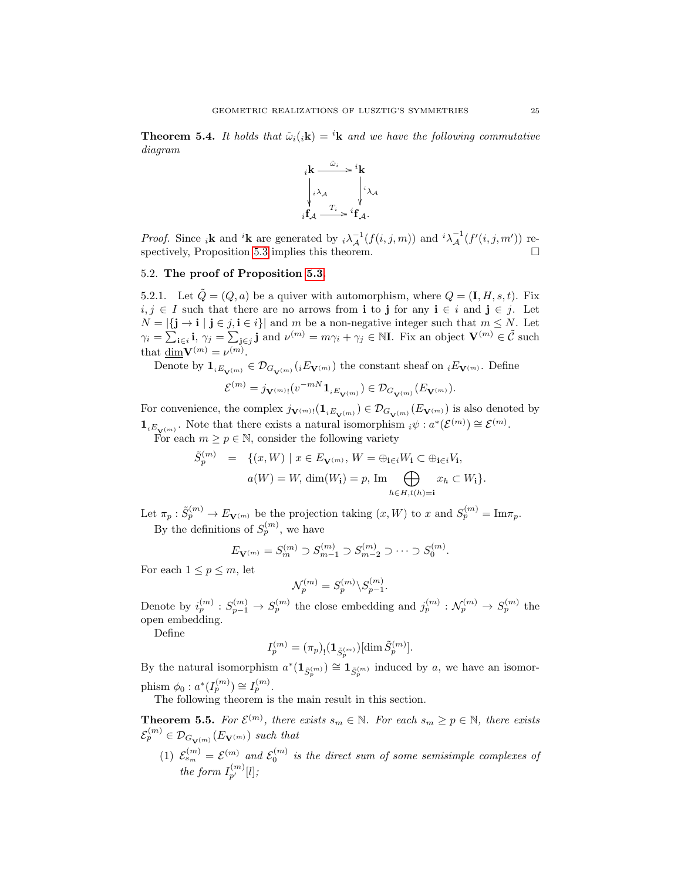**Theorem 5.4.** It holds that  $\tilde{\omega}_i(k) = {}^i\mathbf{k}$  and we have the following commutative diagram



*Proof.* Since <sub>i</sub>**k** and <sup>i</sup>**k** are generated by  $i \lambda_A^{-1}(f(i,j,m))$  and  $i \lambda_A^{-1}(f'(i,j,m'))$  respectively, Proposition [5.3](#page-23-0) implies this theorem.

## <span id="page-24-0"></span>5.2. The proof of Proposition [5.3.](#page-23-0)

5.2.1. Let  $\tilde{Q} = (Q, a)$  be a quiver with automorphism, where  $Q = (\mathbf{I}, H, s, t)$ . Fix  $i, j \in I$  such that there are no arrows from i to j for any  $i \in i$  and  $j \in j$ . Let  $N = |\{\mathbf{j} \to \mathbf{i} \mid \mathbf{j} \in j, \mathbf{i} \in i\}|$  and m be a non-negative integer such that  $m \leq N$ . Let  $\gamma_i = \sum_{\mathbf{i} \in i} \mathbf{i}, \ \gamma_j = \sum_{\mathbf{j} \in j} \mathbf{j} \text{ and } \nu^{(m)} = m\gamma_i + \gamma_j \in \mathbb{N}$ . Fix an object  $\mathbf{V}^{(m)} \in \tilde{\mathcal{C}}$  such that  $\underline{\dim} \mathbf{V}^{(m)} = \nu^{(m)}$ .

Denote by  $\mathbf{1}_{iE_{\mathbf{V}^{(m)}}}\in\mathcal{D}_{G_{\mathbf{V}^{(m)}}}(iE_{\mathbf{V}^{(m)}})$  the constant sheaf on  $_iE_{\mathbf{V}^{(m)}}$ . Define

$$
\mathcal{E}^{(m)}=j_{\mathbf{V}^{(m)}!}(v^{-mN}\mathbf{1}_{iE_{\mathbf{V}^{(m)}}})\in\mathcal{D}_{G_{\mathbf{V}^{(m)}}}(E_{\mathbf{V}^{(m)}}).
$$

For convenience, the complex  $j_{\mathbf{V}^{(m)}}(1_{iE_{\mathbf{V}^{(m)}}}) \in \mathcal{D}_{G_{\mathbf{V}^{(m)}}}(E_{\mathbf{V}^{(m)}})$  is also denoted by  $\mathbf{1}_{iE_{\mathbf{V}^{(m)}}}.$  Note that there exists a natural isomorphism  $_i\psi : a^*(\mathcal{E}^{(m)}) \cong \mathcal{E}^{(m)}$ .

For each  $m \geq p \in \mathbb{N}$ , consider the following variety

$$
\tilde{S}_p^{(m)} = \{(x, W) \mid x \in E_{\mathbf{V}^{(m)}}, W = \bigoplus_{\mathbf{i} \in i} W_{\mathbf{i}} \subset \bigoplus_{\mathbf{i} \in i} V_{\mathbf{i}},
$$

$$
a(W) = W, \dim(W_{\mathbf{i}}) = p, \text{ Im} \bigoplus_{h \in H, t(h) = \mathbf{i}} x_h \subset W_{\mathbf{i}}\}.
$$

Let  $\pi_p : \tilde{S}_p^{(m)} \to E_{\mathbf{V}^{(m)}}$  be the projection taking  $(x, W)$  to x and  $S_p^{(m)} = \text{Im} \pi_p$ . By the definitions of  $S_p^{(m)}$ , we have

$$
E_{\mathbf{V}^{(m)}} = S_m^{(m)} \supset S_{m-1}^{(m)} \supset S_{m-2}^{(m)} \supset \cdots \supset S_0^{(m)}.
$$

For each  $1 \leq p \leq m$ , let

$$
\mathcal{N}_p^{(m)} = S_p^{(m)} \backslash S_{p-1}^{(m)}.
$$

Denote by  $i_p^{(m)}: S_{p-1}^{(m)} \to S_p^{(m)}$  the close embedding and  $j_p^{(m)}: \mathcal{N}_p^{(m)} \to S_p^{(m)}$  the open embedding.

Define

$$
I_p^{(m)} = (\pi_p)_{!} (\mathbf{1}_{\tilde S_p^{(m)}}) [\dim \tilde S_p^{(m)}].
$$

By the natural isomorphism  $a^*(1_{\tilde{S}^{(m)}_p}) \cong 1_{\tilde{S}^{(m)}_p}$  induced by a, we have an isomorphism  $\phi_0: a^*(I_p^{(m)}) \cong I_p^{(m)}$ .

The following theorem is the main result in this section.

<span id="page-24-1"></span>**Theorem 5.5.** For  $\mathcal{E}^{(m)}$ , there exists  $s_m \in \mathbb{N}$ . For each  $s_m \geq p \in \mathbb{N}$ , there exists  $\mathcal{E}_p^{(m)} \in \mathcal{D}_{G_{\mathbf{V}^{(m)}}}(E_{\mathbf{V}^{(m)}})$  such that

(1)  $\mathcal{E}_{s_m}^{(m)} = \mathcal{E}^{(m)}$  and  $\mathcal{E}_0^{(m)}$  is the direct sum of some semisimple complexes of the form  $I_{p'}^{(m)}[l]$ ;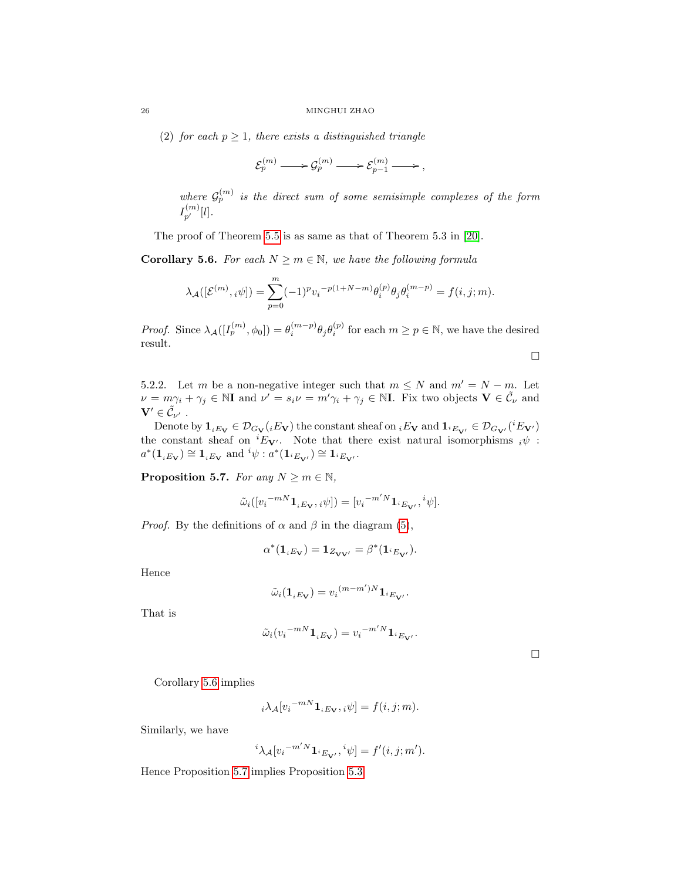(2) for each  $p \geq 1$ , there exists a distinguished triangle

$$
\mathcal{E}_p^{(m)} \longrightarrow \mathcal{G}_p^{(m)} \longrightarrow \mathcal{E}_{p-1}^{(m)} \longrightarrow ,
$$

where  $\mathcal{G}_p^{(m)}$  is the direct sum of some semisimple complexes of the form  $I_{p'}^{(m)}[l]$ .

The proof of Theorem [5.5](#page-24-1) is as same as that of Theorem 5.3 in [\[20\]](#page-26-16).

<span id="page-25-0"></span>**Corollary 5.6.** For each  $N \ge m \in \mathbb{N}$ , we have the following formula

$$
\lambda_{\mathcal{A}}([\mathcal{E}^{(m)}, i\psi]) = \sum_{p=0}^{m} (-1)^p v_i^{-p(1+N-m)} \theta_i^{(p)} \theta_j \theta_i^{(m-p)} = f(i, j; m).
$$

*Proof.* Since  $\lambda_{\mathcal{A}}([I_p^{(m)}, \phi_0]) = \theta_i^{(m-p)} \theta_j \theta_i^{(p)}$  for each  $m \ge p \in \mathbb{N}$ , we have the desired result.

$$
\Box
$$

5.2.2. Let m be a non-negative integer such that  $m \leq N$  and  $m' = N - m$ . Let  $\nu = m\gamma_i + \gamma_j \in \mathbb{N}$ I and  $\nu' = s_i\nu = m'\gamma_i + \gamma_j \in \mathbb{N}$ I. Fix two objects  $\mathbf{V} \in \tilde{\mathcal{C}}_{\nu}$  and  $\mathbf{V}^{\prime} \in \tilde{\mathcal{C}}_{\nu^{\prime}}$  .

Denote by  $\mathbf{1}_{iE_V} \in \mathcal{D}_{G_V}(iE_V)$  the constant sheaf on  $_iE_V$  and  $\mathbf{1}_{iE_{V'}} \in \mathcal{D}_{G_{V'}}(iE_{V'})$ the constant sheaf on  ${}^{i}E_{V}$ . Note that there exist natural isomorphisms  ${}_{i}\psi$ :  $a^*(1_{iE_V}) \cong 1_{iE_V}$  and  ${}^{i}\psi : a^*(1_{iE_{V'}}) \cong 1_{iE_{V'}}$ .

<span id="page-25-1"></span>**Proposition 5.7.** For any  $N \ge m \in \mathbb{N}$ ,

$$
\tilde{\omega}_i([{v_i}^{-mN} \mathbf{1}_{iE_\mathbf{V}}, {}_i \psi]) = [{v_i}^{-m'N} \mathbf{1}_{^iE_\mathbf{V'}}, {}^i \psi].
$$

*Proof.* By the definitions of  $\alpha$  and  $\beta$  in the diagram [\(5\)](#page-20-2),

$$
\alpha^*(\mathbf{1}_{iE_{\mathbf{V}}}) = \mathbf{1}_{Z_{\mathbf{V}\mathbf{V}'}} = \beta^*(\mathbf{1}_{iE_{\mathbf{V}'}}).
$$

Hence

$$
\tilde{\omega}_i(\mathbf{1}_{iE_V}) = v_i{}^{(m-m')N} \mathbf{1}_{iE_{V'}}.
$$

That is

$$
\tilde{\omega}_i (v_i^{-mN} \mathbf{1}_{iE_V}) = v_i^{-m'N} \mathbf{1}_{iE_{V'}}.
$$

 $\Box$ 

Corollary [5.6](#page-25-0) implies

$$
{}_{i}\lambda_{\mathcal{A}}[v_{i}^{-mN}\mathbf{1}_{iE_{\mathbf{V}}},i\psi] = f(i,j;m).
$$

Similarly, we have

$$
{}^{i}\lambda_{\mathcal{A}}[v_{i}^{-m'N}\mathbf{1}_{i_{\mathcal{B}_{\mathbf{V}}}}, {}^{i}\psi] = f'(i, j; m').
$$

Hence Proposition [5.7](#page-25-1) implies Proposition [5.3.](#page-23-0)